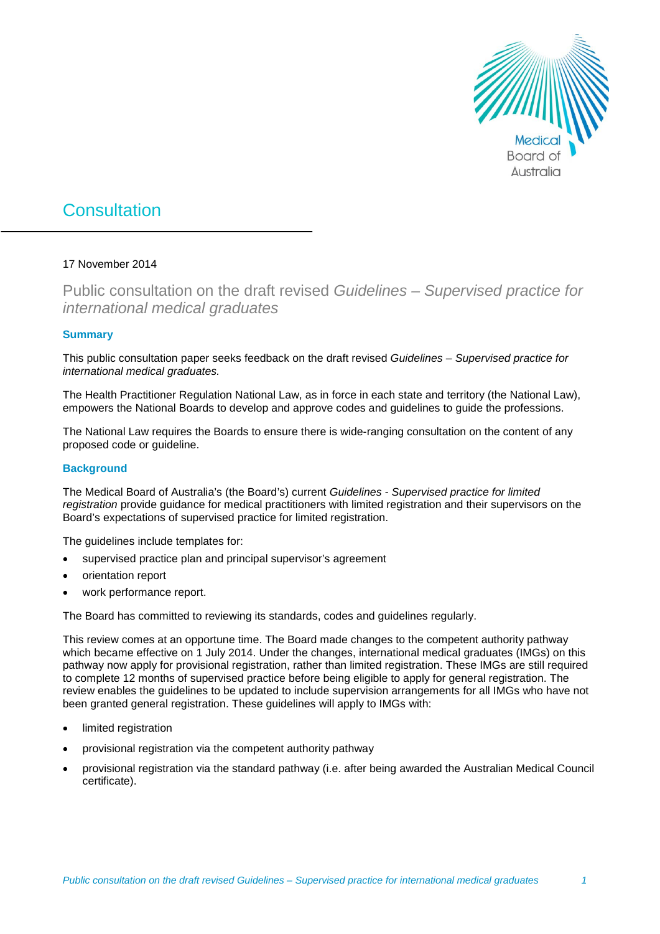

# **Consultation**

# 17 November 2014

Public consultation on the draft revised *Guidelines – Supervised practice for international medical graduates*

# **Summary**

This public consultation paper seeks feedback on the draft revised *Guidelines – Supervised practice for international medical graduates.*

The Health Practitioner Regulation National Law, as in force in each state and territory (the National Law), empowers the National Boards to develop and approve codes and guidelines to guide the professions.

The National Law requires the Boards to ensure there is wide-ranging consultation on the content of any proposed code or guideline.

# **Background**

The Medical Board of Australia's (the Board's) current *Guidelines - Supervised practice for limited registration* provide guidance for medical practitioners with limited registration and their supervisors on the Board's expectations of supervised practice for limited registration.

The quidelines include templates for:

- supervised practice plan and principal supervisor's agreement
- orientation report
- work performance report.

The Board has committed to reviewing its standards, codes and guidelines regularly.

This review comes at an opportune time. The Board made changes to the competent authority pathway which became effective on 1 July 2014. Under the changes, international medical graduates (IMGs) on this pathway now apply for provisional registration, rather than limited registration. These IMGs are still required to complete 12 months of supervised practice before being eligible to apply for general registration. The review enables the guidelines to be updated to include supervision arrangements for all IMGs who have not been granted general registration. These guidelines will apply to IMGs with:

- limited registration
- provisional registration via the competent authority pathway
- provisional registration via the standard pathway (i.e. after being awarded the Australian Medical Council certificate).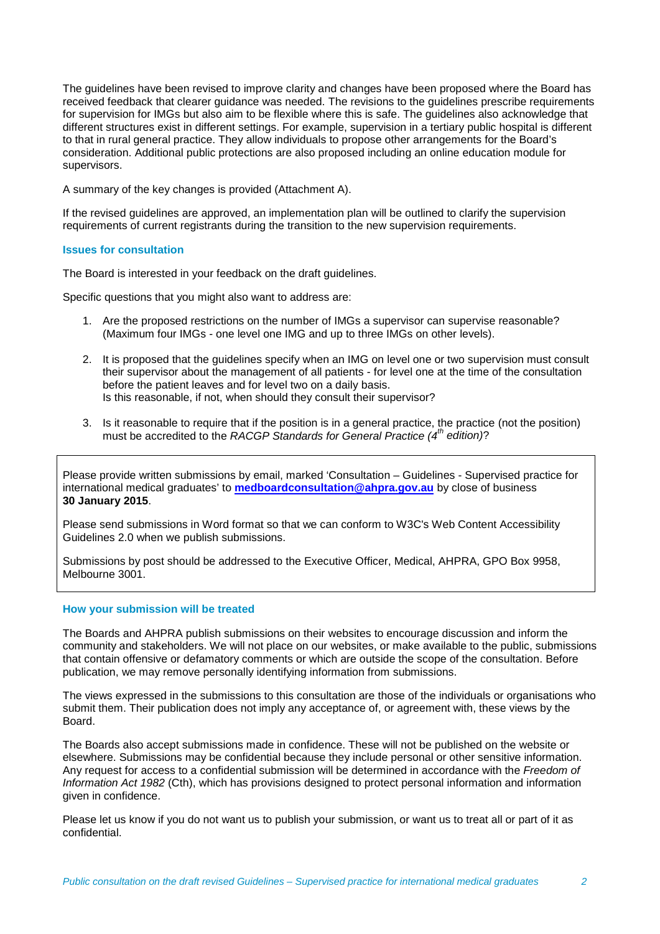The guidelines have been revised to improve clarity and changes have been proposed where the Board has received feedback that clearer guidance was needed. The revisions to the guidelines prescribe requirements for supervision for IMGs but also aim to be flexible where this is safe. The guidelines also acknowledge that different structures exist in different settings. For example, supervision in a tertiary public hospital is different to that in rural general practice. They allow individuals to propose other arrangements for the Board's consideration. Additional public protections are also proposed including an online education module for supervisors.

A summary of the key changes is provided (Attachment A).

If the revised guidelines are approved, an implementation plan will be outlined to clarify the supervision requirements of current registrants during the transition to the new supervision requirements.

# **Issues for consultation**

The Board is interested in your feedback on the draft guidelines.

Specific questions that you might also want to address are:

- 1. Are the proposed restrictions on the number of IMGs a supervisor can supervise reasonable? (Maximum four IMGs - one level one IMG and up to three IMGs on other levels).
- 2. It is proposed that the guidelines specify when an IMG on level one or two supervision must consult their supervisor about the management of all patients - for level one at the time of the consultation before the patient leaves and for level two on a daily basis. Is this reasonable, if not, when should they consult their supervisor?
- 3. Is it reasonable to require that if the position is in a general practice, the practice (not the position) must be accredited to the *RACGP Standards for General Practice (4th edition)*?

Please provide written submissions by email, marked 'Consultation – Guidelines - Supervised practice for international medical graduates' to **[medboardconsultation@ahpra.gov.au](mailto:medboardconsultation@ahpra.gov.au)** by close of business **30 January 2015**.

Please send submissions in Word format so that we can conform to W3C's [Web Content Accessibility](http://www.w3.org/TR/WCAG20/)  [Guidelines 2.0](http://www.w3.org/TR/WCAG20/) when we publish submissions.

Submissions by post should be addressed to the Executive Officer, Medical, AHPRA, GPO Box 9958, Melbourne 3001.

#### **How your submission will be treated**

The Boards and AHPRA publish submissions on their websites to encourage discussion and inform the community and stakeholders. We will not place on our websites, or make available to the public, submissions that contain offensive or defamatory comments or which are outside the scope of the consultation. Before publication, we may remove personally identifying information from submissions.

The views expressed in the submissions to this consultation are those of the individuals or organisations who submit them. Their publication does not imply any acceptance of, or agreement with, these views by the Board.

The Boards also accept submissions made in confidence. These will not be published on the website or elsewhere. Submissions may be confidential because they include personal or other sensitive information. Any request for access to a confidential submission will be determined in accordance with the *Freedom of Information Act 1982* (Cth), which has provisions designed to protect personal information and information given in confidence.

Please let us know if you do not want us to publish your submission, or want us to treat all or part of it as confidential.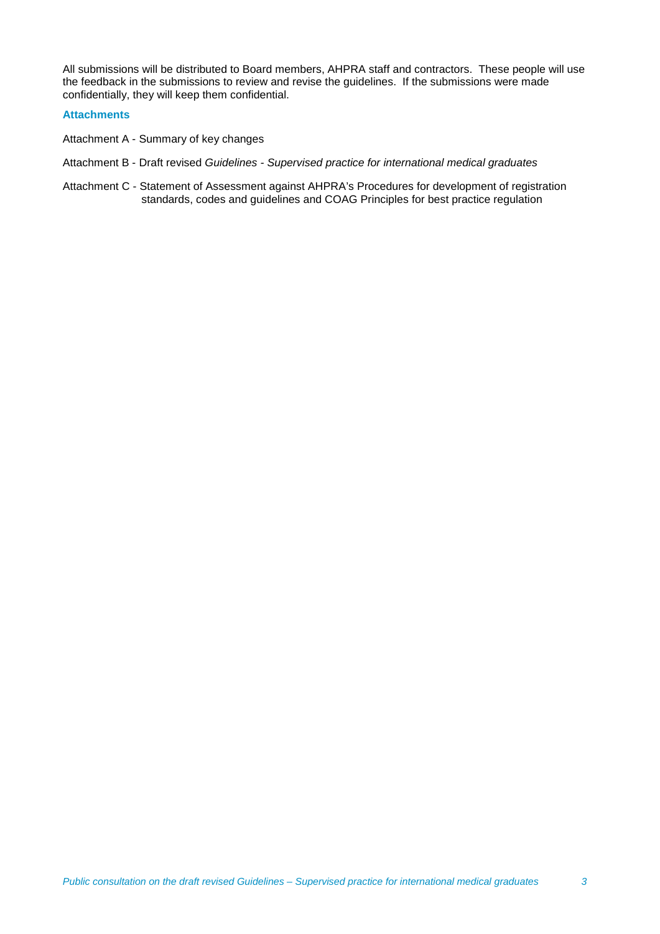All submissions will be distributed to Board members, AHPRA staff and contractors. These people will use the feedback in the submissions to review and revise the guidelines. If the submissions were made confidentially, they will keep them confidential.

# **Attachments**

- Attachment A Summary of key changes
- Attachment B Draft revised *Guidelines - Supervised practice for international medical graduates*
- Attachment C Statement of Assessment against AHPRA's Procedures for development of registration standards, codes and guidelines and COAG Principles for best practice regulation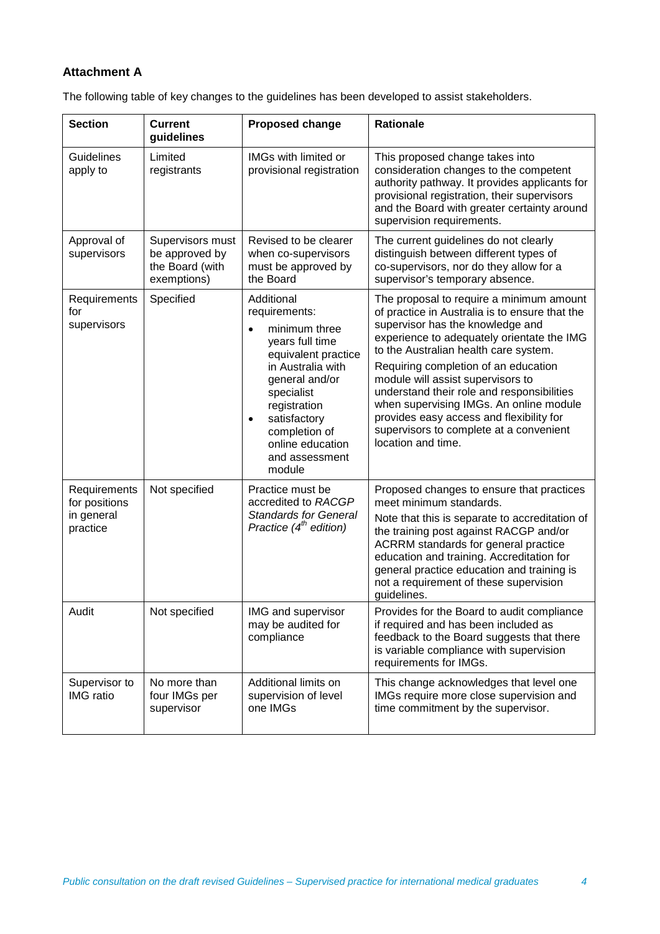# **Attachment A**

The following table of key changes to the guidelines has been developed to assist stakeholders.

| <b>Section</b>                                          | <b>Current</b><br>guidelines                                         | <b>Proposed change</b>                                                                                                                                                                                                                                                 | <b>Rationale</b>                                                                                                                                                                                                                                                                                                                                                                                                                                                                                         |
|---------------------------------------------------------|----------------------------------------------------------------------|------------------------------------------------------------------------------------------------------------------------------------------------------------------------------------------------------------------------------------------------------------------------|----------------------------------------------------------------------------------------------------------------------------------------------------------------------------------------------------------------------------------------------------------------------------------------------------------------------------------------------------------------------------------------------------------------------------------------------------------------------------------------------------------|
| Guidelines<br>apply to                                  | Limited<br>registrants                                               | IMGs with limited or<br>provisional registration                                                                                                                                                                                                                       | This proposed change takes into<br>consideration changes to the competent<br>authority pathway. It provides applicants for<br>provisional registration, their supervisors<br>and the Board with greater certainty around<br>supervision requirements.                                                                                                                                                                                                                                                    |
| Approval of<br>supervisors                              | Supervisors must<br>be approved by<br>the Board (with<br>exemptions) | Revised to be clearer<br>when co-supervisors<br>must be approved by<br>the Board                                                                                                                                                                                       | The current guidelines do not clearly<br>distinguish between different types of<br>co-supervisors, nor do they allow for a<br>supervisor's temporary absence.                                                                                                                                                                                                                                                                                                                                            |
| Requirements<br>for<br>supervisors                      | Specified                                                            | Additional<br>requirements:<br>minimum three<br>$\bullet$<br>years full time<br>equivalent practice<br>in Australia with<br>general and/or<br>specialist<br>registration<br>satisfactory<br>$\bullet$<br>completion of<br>online education<br>and assessment<br>module | The proposal to require a minimum amount<br>of practice in Australia is to ensure that the<br>supervisor has the knowledge and<br>experience to adequately orientate the IMG<br>to the Australian health care system.<br>Requiring completion of an education<br>module will assist supervisors to<br>understand their role and responsibilities<br>when supervising IMGs. An online module<br>provides easy access and flexibility for<br>supervisors to complete at a convenient<br>location and time. |
| Requirements<br>for positions<br>in general<br>practice | Not specified                                                        | Practice must be<br>accredited to RACGP<br><b>Standards for General</b><br>Practice $(4th$ edition)                                                                                                                                                                    | Proposed changes to ensure that practices<br>meet minimum standards.<br>Note that this is separate to accreditation of<br>the training post against RACGP and/or<br>ACRRM standards for general practice<br>education and training. Accreditation for<br>general practice education and training is<br>not a requirement of these supervision<br>guidelines.                                                                                                                                             |
| Audit                                                   | Not specified                                                        | IMG and supervisor<br>may be audited for<br>compliance                                                                                                                                                                                                                 | Provides for the Board to audit compliance<br>if required and has been included as<br>feedback to the Board suggests that there<br>is variable compliance with supervision<br>requirements for IMGs.                                                                                                                                                                                                                                                                                                     |
| Supervisor to<br><b>IMG</b> ratio                       | No more than<br>four IMGs per<br>supervisor                          | Additional limits on<br>supervision of level<br>one IMGs                                                                                                                                                                                                               | This change acknowledges that level one<br>IMGs require more close supervision and<br>time commitment by the supervisor.                                                                                                                                                                                                                                                                                                                                                                                 |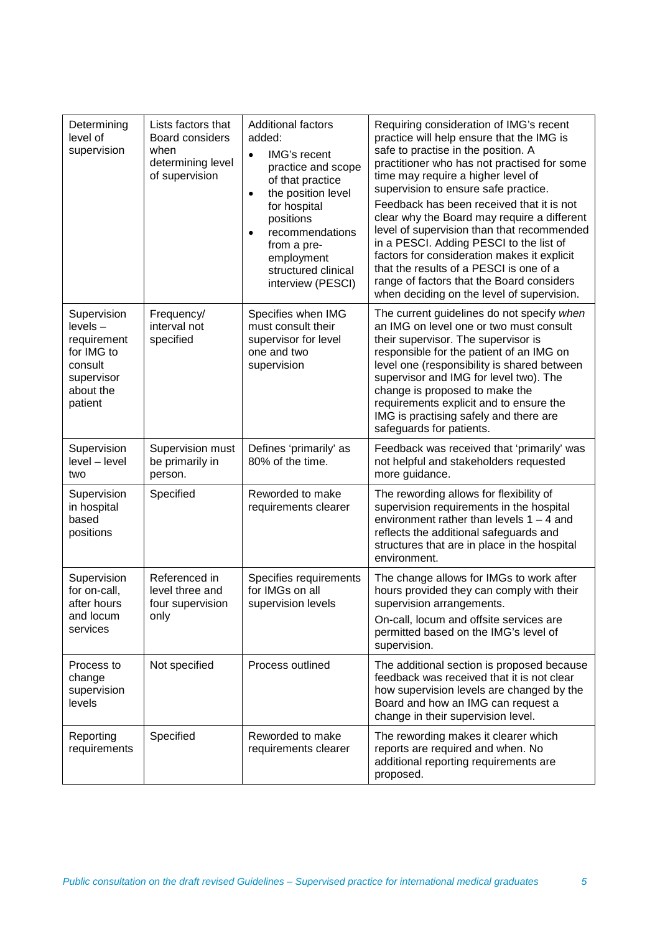| Determining<br>level of<br>supervision                                                                  | Lists factors that<br>Board considers<br>when<br>determining level<br>of supervision | <b>Additional factors</b><br>added:<br>IMG's recent<br>$\bullet$<br>practice and scope<br>of that practice<br>the position level<br>$\bullet$<br>for hospital<br>positions<br>recommendations<br>$\bullet$<br>from a pre-<br>employment<br>structured clinical | Requiring consideration of IMG's recent<br>practice will help ensure that the IMG is<br>safe to practise in the position. A<br>practitioner who has not practised for some<br>time may require a higher level of<br>supervision to ensure safe practice.<br>Feedback has been received that it is not<br>clear why the Board may require a different<br>level of supervision than that recommended<br>in a PESCI. Adding PESCI to the list of<br>factors for consideration makes it explicit<br>that the results of a PESCI is one of a |
|---------------------------------------------------------------------------------------------------------|--------------------------------------------------------------------------------------|----------------------------------------------------------------------------------------------------------------------------------------------------------------------------------------------------------------------------------------------------------------|-----------------------------------------------------------------------------------------------------------------------------------------------------------------------------------------------------------------------------------------------------------------------------------------------------------------------------------------------------------------------------------------------------------------------------------------------------------------------------------------------------------------------------------------|
|                                                                                                         |                                                                                      | interview (PESCI)                                                                                                                                                                                                                                              | range of factors that the Board considers<br>when deciding on the level of supervision.                                                                                                                                                                                                                                                                                                                                                                                                                                                 |
| Supervision<br>$levels -$<br>requirement<br>for IMG to<br>consult<br>supervisor<br>about the<br>patient | Frequency/<br>interval not<br>specified                                              | Specifies when IMG<br>must consult their<br>supervisor for level<br>one and two<br>supervision                                                                                                                                                                 | The current guidelines do not specify when<br>an IMG on level one or two must consult<br>their supervisor. The supervisor is<br>responsible for the patient of an IMG on<br>level one (responsibility is shared between<br>supervisor and IMG for level two). The<br>change is proposed to make the<br>requirements explicit and to ensure the<br>IMG is practising safely and there are<br>safeguards for patients.                                                                                                                    |
| Supervision<br>level - level<br>two                                                                     | Supervision must<br>be primarily in<br>person.                                       | Defines 'primarily' as<br>80% of the time.                                                                                                                                                                                                                     | Feedback was received that 'primarily' was<br>not helpful and stakeholders requested<br>more guidance.                                                                                                                                                                                                                                                                                                                                                                                                                                  |
| Supervision<br>in hospital<br>based<br>positions                                                        | Specified                                                                            | Reworded to make<br>requirements clearer                                                                                                                                                                                                                       | The rewording allows for flexibility of<br>supervision requirements in the hospital<br>environment rather than levels $1 - 4$ and<br>reflects the additional safeguards and<br>structures that are in place in the hospital<br>environment.                                                                                                                                                                                                                                                                                             |
| Supervision<br>for on-call,<br>after hours<br>and locum<br>services                                     | Referenced in<br>level three and<br>four supervision<br>only                         | Specifies requirements<br>for IMGs on all<br>supervision levels                                                                                                                                                                                                | The change allows for IMGs to work after<br>hours provided they can comply with their<br>supervision arrangements.<br>On-call, locum and offsite services are<br>permitted based on the IMG's level of<br>supervision.                                                                                                                                                                                                                                                                                                                  |
| Process to<br>change<br>supervision<br>levels                                                           | Not specified                                                                        | Process outlined                                                                                                                                                                                                                                               | The additional section is proposed because<br>feedback was received that it is not clear<br>how supervision levels are changed by the<br>Board and how an IMG can request a<br>change in their supervision level.                                                                                                                                                                                                                                                                                                                       |
| Reporting<br>requirements                                                                               | Specified                                                                            | Reworded to make<br>requirements clearer                                                                                                                                                                                                                       | The rewording makes it clearer which<br>reports are required and when. No<br>additional reporting requirements are<br>proposed.                                                                                                                                                                                                                                                                                                                                                                                                         |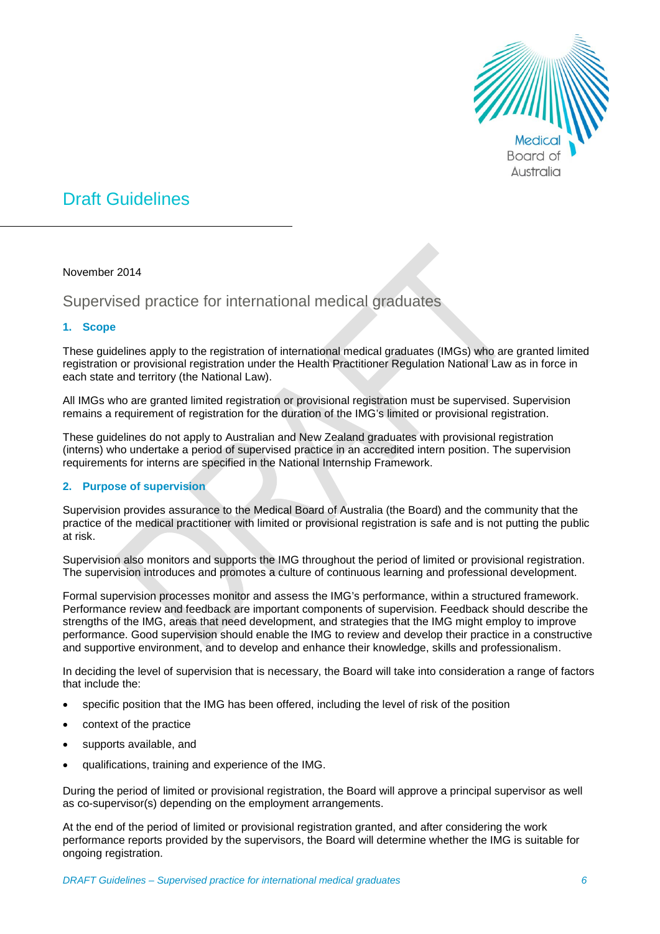

# Draft Guidelines

November 2014

Supervised practice for international medical graduates

# **1. Scope**

These guidelines apply to the registration of international medical graduates (IMGs) who are granted limited registration or provisional registration under the Health Practitioner Regulation National Law as in force in each state and territory (the National Law).

All IMGs who are granted limited registration or provisional registration must be supervised. Supervision remains a requirement of registration for the duration of the IMG's limited or provisional registration.

These guidelines do not apply to Australian and New Zealand graduates with provisional registration (interns) who undertake a period of supervised practice in an accredited intern position. The supervision requirements for interns are specified in the National Internship Framework.

# **2. Purpose of supervision**

Supervision provides assurance to the Medical Board of Australia (the Board) and the community that the practice of the medical practitioner with limited or provisional registration is safe and is not putting the public at risk.

Supervision also monitors and supports the IMG throughout the period of limited or provisional registration. The supervision introduces and promotes a culture of continuous learning and professional development.

Formal supervision processes monitor and assess the IMG's performance, within a structured framework. Performance review and feedback are important components of supervision. Feedback should describe the strengths of the IMG, areas that need development, and strategies that the IMG might employ to improve performance. Good supervision should enable the IMG to review and develop their practice in a constructive and supportive environment, and to develop and enhance their knowledge, skills and professionalism.

In deciding the level of supervision that is necessary, the Board will take into consideration a range of factors that include the:

- specific position that the IMG has been offered, including the level of risk of the position
- context of the practice
- supports available, and
- qualifications, training and experience of the IMG.

During the period of limited or provisional registration, the Board will approve a principal supervisor as well as co-supervisor(s) depending on the employment arrangements.

At the end of the period of limited or provisional registration granted, and after considering the work performance reports provided by the supervisors, the Board will determine whether the IMG is suitable for ongoing registration.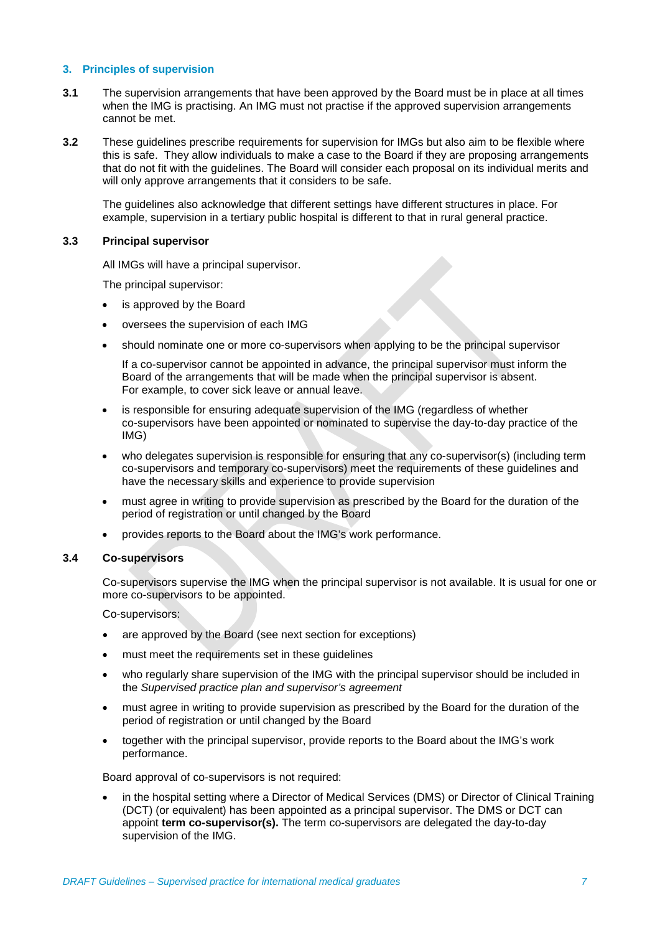# **3. Principles of supervision**

- **3.1** The supervision arrangements that have been approved by the Board must be in place at all times when the IMG is practising. An IMG must not practise if the approved supervision arrangements cannot be met.
- **3.2** These guidelines prescribe requirements for supervision for IMGs but also aim to be flexible where this is safe. They allow individuals to make a case to the Board if they are proposing arrangements that do not fit with the guidelines. The Board will consider each proposal on its individual merits and will only approve arrangements that it considers to be safe.

The guidelines also acknowledge that different settings have different structures in place. For example, supervision in a tertiary public hospital is different to that in rural general practice.

# **3.3 Principal supervisor**

All IMGs will have a principal supervisor.

The principal supervisor:

- is approved by the Board
- oversees the supervision of each IMG
- should nominate one or more co-supervisors when applying to be the principal supervisor

If a co-supervisor cannot be appointed in advance, the principal supervisor must inform the Board of the arrangements that will be made when the principal supervisor is absent. For example, to cover sick leave or annual leave.

- is responsible for ensuring adequate supervision of the IMG (regardless of whether co-supervisors have been appointed or nominated to supervise the day-to-day practice of the IMG)
- who delegates supervision is responsible for ensuring that any co-supervisor(s) (including term co-supervisors and temporary co-supervisors) meet the requirements of these guidelines and have the necessary skills and experience to provide supervision
- must agree in writing to provide supervision as prescribed by the Board for the duration of the period of registration or until changed by the Board
- provides reports to the Board about the IMG's work performance.

# **3.4 Co-supervisors**

Co-supervisors supervise the IMG when the principal supervisor is not available. It is usual for one or more co-supervisors to be appointed.

Co-supervisors:

- are approved by the Board (see next section for exceptions)
- must meet the requirements set in these guidelines
- who regularly share supervision of the IMG with the principal supervisor should be included in the *Supervised practice plan and supervisor's agreement*
- must agree in writing to provide supervision as prescribed by the Board for the duration of the period of registration or until changed by the Board
- together with the principal supervisor, provide reports to the Board about the IMG's work performance.

Board approval of co-supervisors is not required:

• in the hospital setting where a Director of Medical Services (DMS) or Director of Clinical Training (DCT) (or equivalent) has been appointed as a principal supervisor. The DMS or DCT can appoint **term co-supervisor(s).** The term co-supervisors are delegated the day-to-day supervision of the IMG.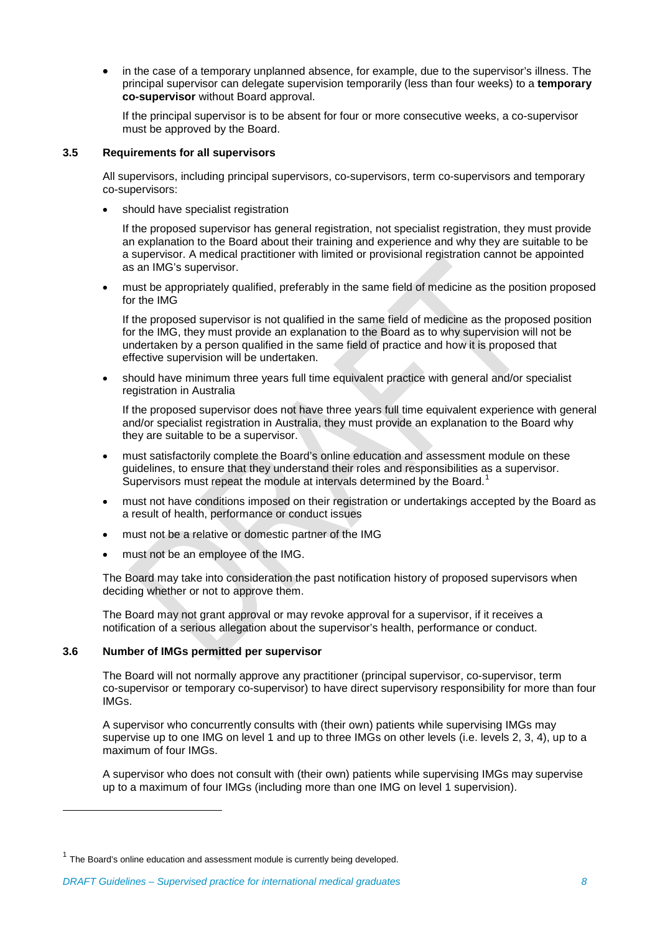• in the case of a temporary unplanned absence, for example, due to the supervisor's illness. The principal supervisor can delegate supervision temporarily (less than four weeks) to a **temporary co-supervisor** without Board approval.

If the principal supervisor is to be absent for four or more consecutive weeks, a co-supervisor must be approved by the Board.

# **3.5 Requirements for all supervisors**

All supervisors, including principal supervisors, co-supervisors, term co-supervisors and temporary co-supervisors:

should have specialist registration

If the proposed supervisor has general registration, not specialist registration, they must provide an explanation to the Board about their training and experience and why they are suitable to be a supervisor. A medical practitioner with limited or provisional registration cannot be appointed as an IMG's supervisor.

• must be appropriately qualified, preferably in the same field of medicine as the position proposed for the IMG

If the proposed supervisor is not qualified in the same field of medicine as the proposed position for the IMG, they must provide an explanation to the Board as to why supervision will not be undertaken by a person qualified in the same field of practice and how it is proposed that effective supervision will be undertaken.

• should have minimum three years full time equivalent practice with general and/or specialist registration in Australia

If the proposed supervisor does not have three years full time equivalent experience with general and/or specialist registration in Australia, they must provide an explanation to the Board why they are suitable to be a supervisor.

- must satisfactorily complete the Board's online education and assessment module on these guidelines, to ensure that they understand their roles and responsibilities as a supervisor. Supervisors must repeat the module at intervals determined by the Board.<sup>[1](#page-7-0)</sup>
- must not have conditions imposed on their registration or undertakings accepted by the Board as a result of health, performance or conduct issues
- must not be a relative or domestic partner of the IMG
- must not be an employee of the IMG.

The Board may take into consideration the past notification history of proposed supervisors when deciding whether or not to approve them.

The Board may not grant approval or may revoke approval for a supervisor, if it receives a notification of a serious allegation about the supervisor's health, performance or conduct.

## **3.6 Number of IMGs permitted per supervisor**

-

The Board will not normally approve any practitioner (principal supervisor, co-supervisor, term co-supervisor or temporary co-supervisor) to have direct supervisory responsibility for more than four IMGs.

A supervisor who concurrently consults with (their own) patients while supervising IMGs may supervise up to one IMG on level 1 and up to three IMGs on other levels (i.e. levels 2, 3, 4), up to a maximum of four IMGs.

A supervisor who does not consult with (their own) patients while supervising IMGs may supervise up to a maximum of four IMGs (including more than one IMG on level 1 supervision).

<span id="page-7-0"></span> $1$  The Board's online education and assessment module is currently being developed.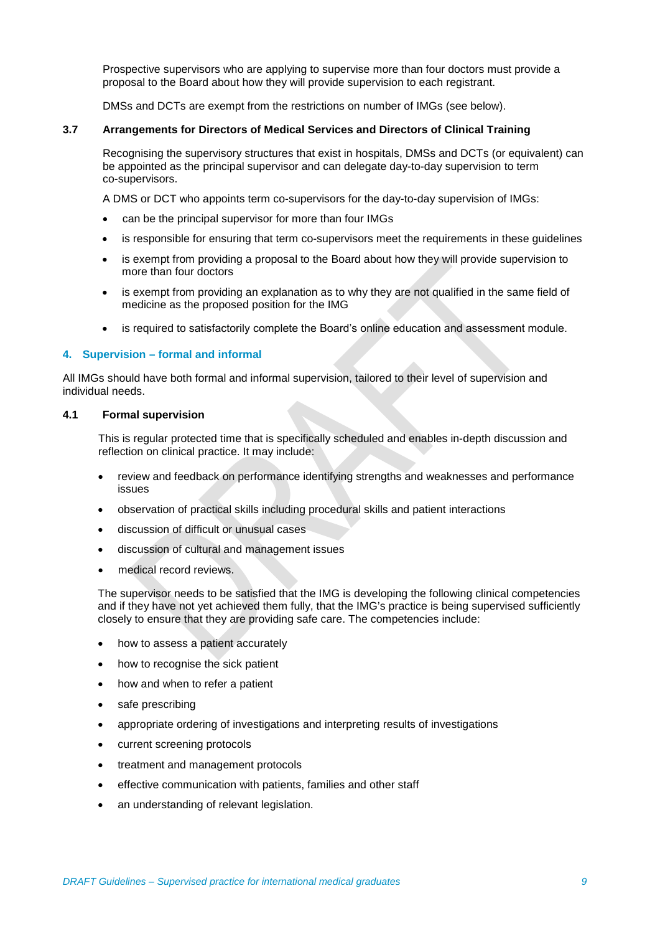Prospective supervisors who are applying to supervise more than four doctors must provide a proposal to the Board about how they will provide supervision to each registrant.

DMSs and DCTs are exempt from the restrictions on number of IMGs (see below).

# **3.7 Arrangements for Directors of Medical Services and Directors of Clinical Training**

Recognising the supervisory structures that exist in hospitals, DMSs and DCTs (or equivalent) can be appointed as the principal supervisor and can delegate day-to-day supervision to term co-supervisors.

A DMS or DCT who appoints term co-supervisors for the day-to-day supervision of IMGs:

- can be the principal supervisor for more than four IMGs
- is responsible for ensuring that term co-supervisors meet the requirements in these guidelines
- is exempt from providing a proposal to the Board about how they will provide supervision to more than four doctors
- is exempt from providing an explanation as to why they are not qualified in the same field of medicine as the proposed position for the IMG
- is required to satisfactorily complete the Board's online education and assessment module.

# **4. Supervision – formal and informal**

All IMGs should have both formal and informal supervision, tailored to their level of supervision and individual needs.

## **4.1 Formal supervision**

This is regular protected time that is specifically scheduled and enables in-depth discussion and reflection on clinical practice. It may include:

- review and feedback on performance identifying strengths and weaknesses and performance issues
- observation of practical skills including procedural skills and patient interactions
- discussion of difficult or unusual cases
- discussion of cultural and management issues
- medical record reviews.

The supervisor needs to be satisfied that the IMG is developing the following clinical competencies and if they have not yet achieved them fully, that the IMG's practice is being supervised sufficiently closely to ensure that they are providing safe care. The competencies include:

- how to assess a patient accurately
- how to recognise the sick patient
- how and when to refer a patient
- safe prescribing
- appropriate ordering of investigations and interpreting results of investigations
- current screening protocols
- treatment and management protocols
- effective communication with patients, families and other staff
- an understanding of relevant legislation.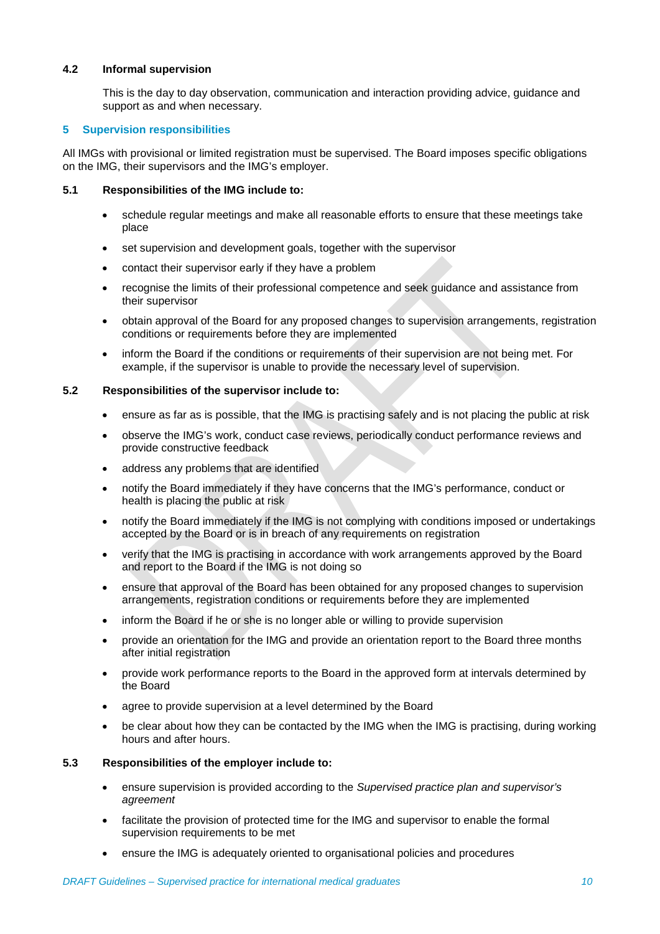# **4.2 Informal supervision**

This is the day to day observation, communication and interaction providing advice, guidance and support as and when necessary.

# **5 Supervision responsibilities**

All IMGs with provisional or limited registration must be supervised. The Board imposes specific obligations on the IMG, their supervisors and the IMG's employer.

# **5.1 Responsibilities of the IMG include to:**

- schedule regular meetings and make all reasonable efforts to ensure that these meetings take place
- set supervision and development goals, together with the supervisor
- contact their supervisor early if they have a problem
- recognise the limits of their professional competence and seek guidance and assistance from their supervisor
- obtain approval of the Board for any proposed changes to supervision arrangements, registration conditions or requirements before they are implemented
- inform the Board if the conditions or requirements of their supervision are not being met. For example, if the supervisor is unable to provide the necessary level of supervision.

# **5.2 Responsibilities of the supervisor include to:**

- ensure as far as is possible, that the IMG is practising safely and is not placing the public at risk
- observe the IMG's work, conduct case reviews, periodically conduct performance reviews and provide constructive feedback
- address any problems that are identified
- notify the Board immediately if they have concerns that the IMG's performance, conduct or health is placing the public at risk
- notify the Board immediately if the IMG is not complying with conditions imposed or undertakings accepted by the Board or is in breach of any requirements on registration
- verify that the IMG is practising in accordance with work arrangements approved by the Board and report to the Board if the IMG is not doing so
- ensure that approval of the Board has been obtained for any proposed changes to supervision arrangements, registration conditions or requirements before they are implemented
- inform the Board if he or she is no longer able or willing to provide supervision
- provide an orientation for the IMG and provide an orientation report to the Board three months after initial registration
- provide work performance reports to the Board in the approved form at intervals determined by the Board
- agree to provide supervision at a level determined by the Board
- be clear about how they can be contacted by the IMG when the IMG is practising, during working hours and after hours.

## **5.3 Responsibilities of the employer include to:**

- ensure supervision is provided according to the *Supervised practice plan and supervisor's agreement*
- facilitate the provision of protected time for the IMG and supervisor to enable the formal supervision requirements to be met
- ensure the IMG is adequately oriented to organisational policies and procedures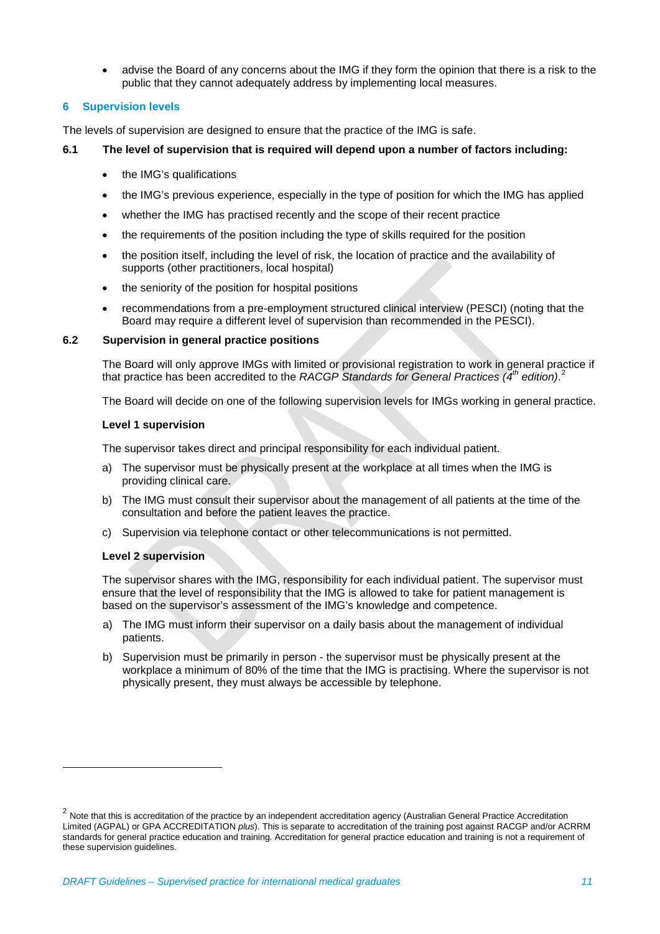advise the Board of any concerns about the IMG if they form the opinion that there is a risk to the public that they cannot adequately address by implementing local measures.

# **6 Supervision levels**

The levels of supervision are designed to ensure that the practice of the IMG is safe.

# **6.1 The level of supervision that is required will depend upon a number of factors including:**

- the IMG's qualifications
- the IMG's previous experience, especially in the type of position for which the IMG has applied
- whether the IMG has practised recently and the scope of their recent practice
- the requirements of the position including the type of skills required for the position
- the position itself, including the level of risk, the location of practice and the availability of supports (other practitioners, local hospital)
- the seniority of the position for hospital positions
- recommendations from a pre-employment structured clinical interview (PESCI) (noting that the Board may require a different level of supervision than recommended in the PESCI).

## **6.2 Supervision in general practice positions**

The Board will only approve IMGs with limited or provisional registration to work in general practice if that practice has been accredited to the *RACGP Standards for General Practices (4th edition)*. [2](#page-10-0)

The Board will decide on one of the following supervision levels for IMGs working in general practice.

## **Level 1 supervision**

The supervisor takes direct and principal responsibility for each individual patient.

- a) The supervisor must be physically present at the workplace at all times when the IMG is providing clinical care.
- b) The IMG must consult their supervisor about the management of all patients at the time of the consultation and before the patient leaves the practice.
- c) Supervision via telephone contact or other telecommunications is not permitted.

## **Level 2 supervision**

-

The supervisor shares with the IMG, responsibility for each individual patient. The supervisor must ensure that the level of responsibility that the IMG is allowed to take for patient management is based on the supervisor's assessment of the IMG's knowledge and competence.

- a) The IMG must inform their supervisor on a daily basis about the management of individual patients.
- b) Supervision must be primarily in person the supervisor must be physically present at the workplace a minimum of 80% of the time that the IMG is practising. Where the supervisor is not physically present, they must always be accessible by telephone.

<span id="page-10-0"></span><sup>&</sup>lt;sup>2</sup> Note that this is accreditation of the practice by an independent accreditation agency (Australian General Practice Accreditation Limited (AGPAL) or GPA ACCREDITATION *plus*). This is separate to accreditation of the training post against RACGP and/or ACRRM standards for general practice education and training. Accreditation for general practice education and training is not a requirement of these supervision quidelines.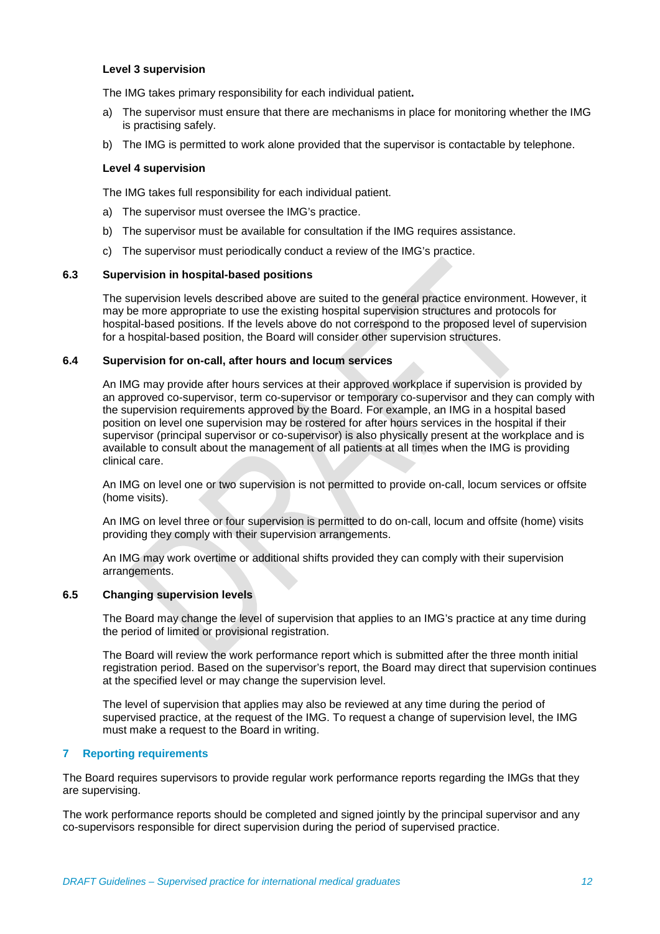# **Level 3 supervision**

The IMG takes primary responsibility for each individual patient**.**

- a) The supervisor must ensure that there are mechanisms in place for monitoring whether the IMG is practising safely.
- b) The IMG is permitted to work alone provided that the supervisor is contactable by telephone.

#### **Level 4 supervision**

The IMG takes full responsibility for each individual patient.

- a) The supervisor must oversee the IMG's practice.
- b) The supervisor must be available for consultation if the IMG requires assistance.
- c) The supervisor must periodically conduct a review of the IMG's practice.

# **6.3 Supervision in hospital-based positions**

The supervision levels described above are suited to the general practice environment. However, it may be more appropriate to use the existing hospital supervision structures and protocols for hospital-based positions. If the levels above do not correspond to the proposed level of supervision for a hospital-based position, the Board will consider other supervision structures.

# **6.4 Supervision for on-call, after hours and locum services**

An IMG may provide after hours services at their approved workplace if supervision is provided by an approved co-supervisor, term co-supervisor or temporary co-supervisor and they can comply with the supervision requirements approved by the Board. For example, an IMG in a hospital based position on level one supervision may be rostered for after hours services in the hospital if their supervisor (principal supervisor or co-supervisor) is also physically present at the workplace and is available to consult about the management of all patients at all times when the IMG is providing clinical care.

An IMG on level one or two supervision is not permitted to provide on-call, locum services or offsite (home visits).

An IMG on level three or four supervision is permitted to do on-call, locum and offsite (home) visits providing they comply with their supervision arrangements.

An IMG may work overtime or additional shifts provided they can comply with their supervision arrangements.

## **6.5 Changing supervision levels**

The Board may change the level of supervision that applies to an IMG's practice at any time during the period of limited or provisional registration.

The Board will review the work performance report which is submitted after the three month initial registration period. Based on the supervisor's report, the Board may direct that supervision continues at the specified level or may change the supervision level.

The level of supervision that applies may also be reviewed at any time during the period of supervised practice, at the request of the IMG. To request a change of supervision level, the IMG must make a request to the Board in writing.

## **7 Reporting requirements**

The Board requires supervisors to provide regular work performance reports regarding the IMGs that they are supervising.

The work performance reports should be completed and signed jointly by the principal supervisor and any co-supervisors responsible for direct supervision during the period of supervised practice.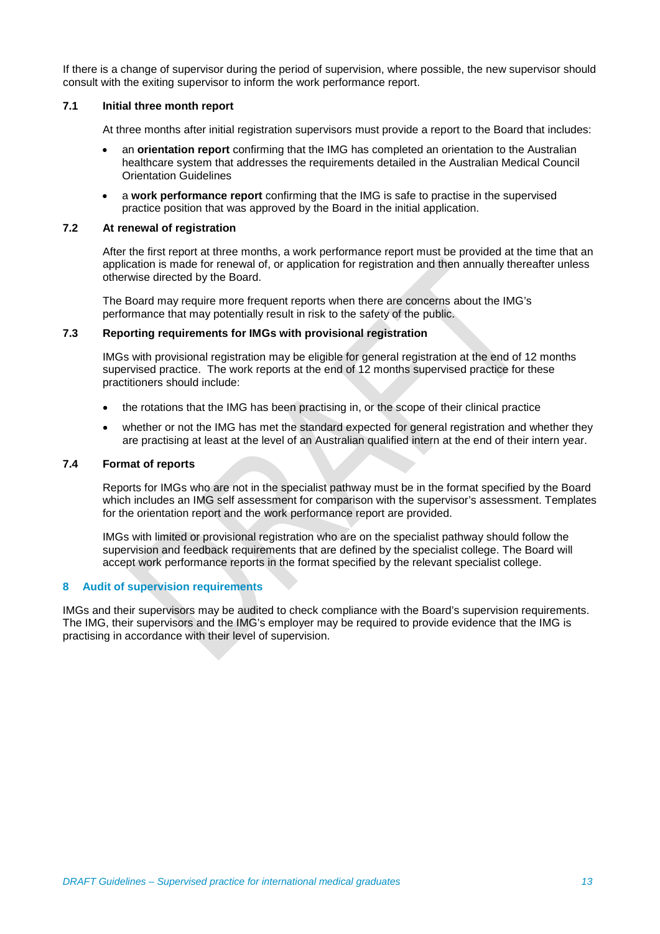If there is a change of supervisor during the period of supervision, where possible, the new supervisor should consult with the exiting supervisor to inform the work performance report.

## **7.1 Initial three month report**

At three months after initial registration supervisors must provide a report to the Board that includes:

- an **orientation report** confirming that the IMG has completed an orientation to the Australian healthcare system that addresses the requirements detailed in the Australian Medical Council Orientation Guidelines
- a **work performance report** confirming that the IMG is safe to practise in the supervised practice position that was approved by the Board in the initial application.

# **7.2 At renewal of registration**

After the first report at three months, a work performance report must be provided at the time that an application is made for renewal of, or application for registration and then annually thereafter unless otherwise directed by the Board.

The Board may require more frequent reports when there are concerns about the IMG's performance that may potentially result in risk to the safety of the public.

# **7.3 Reporting requirements for IMGs with provisional registration**

IMGs with provisional registration may be eligible for general registration at the end of 12 months supervised practice. The work reports at the end of 12 months supervised practice for these practitioners should include:

- the rotations that the IMG has been practising in, or the scope of their clinical practice
- whether or not the IMG has met the standard expected for general registration and whether they are practising at least at the level of an Australian qualified intern at the end of their intern year.

# **7.4 Format of reports**

Reports for IMGs who are not in the specialist pathway must be in the format specified by the Board which includes an IMG self assessment for comparison with the supervisor's assessment. Templates for the orientation report and the work performance report are provided.

IMGs with limited or provisional registration who are on the specialist pathway should follow the supervision and feedback requirements that are defined by the specialist college. The Board will accept work performance reports in the format specified by the relevant specialist college.

# **8 Audit of supervision requirements**

IMGs and their supervisors may be audited to check compliance with the Board's supervision requirements. The IMG, their supervisors and the IMG's employer may be required to provide evidence that the IMG is practising in accordance with their level of supervision.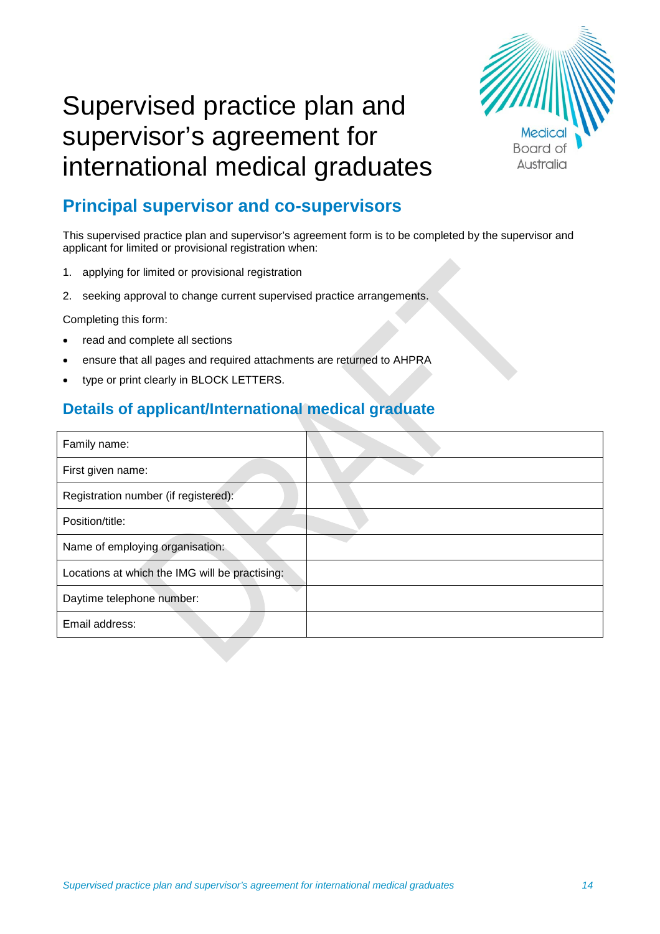

# Supervised practice plan and supervisor's agreement for international medical graduates

# **Principal supervisor and co-supervisors**

This supervised practice plan and supervisor's agreement form is to be completed by the supervisor and applicant for limited or provisional registration when:

- 1. applying for limited or provisional registration
- 2. seeking approval to change current supervised practice arrangements.

Completing this form:

- read and complete all sections
- ensure that all pages and required attachments are returned to AHPRA
- type or print clearly in BLOCK LETTERS.

# **Details of applicant/International medical graduate**

| Family name:                                   |  |
|------------------------------------------------|--|
| First given name:                              |  |
| Registration number (if registered):           |  |
| Position/title:                                |  |
| Name of employing organisation:                |  |
| Locations at which the IMG will be practising: |  |
| Daytime telephone number:                      |  |
| Email address:                                 |  |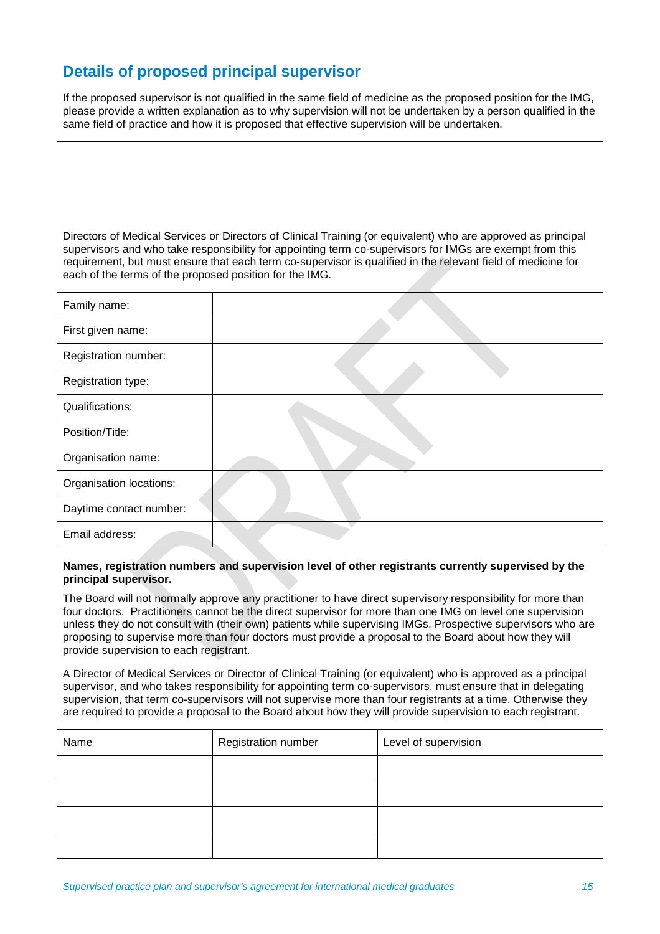# **Details of proposed principal supervisor**

If the proposed supervisor is not qualified in the same field of medicine as the proposed position for the IMG, please provide a written explanation as to why supervision will not be undertaken by a person qualified in the same field of practice and how it is proposed that effective supervision will be undertaken.

Directors of Medical Services or Directors of Clinical Training (or equivalent) who are approved as principal supervisors and who take responsibility for appointing term co-supervisors for IMGs are exempt from this requirement, but must ensure that each term co-supervisor is qualified in the relevant field of medicine for each of the terms of the proposed position for the IMG.

| Family name:            |  |
|-------------------------|--|
| First given name:       |  |
| Registration number:    |  |
| Registration type:      |  |
| Qualifications:         |  |
| Position/Title:         |  |
| Organisation name:      |  |
| Organisation locations: |  |
| Daytime contact number: |  |
| Email address:          |  |

## **Names, registration numbers and supervision level of other registrants currently supervised by the principal supervisor.**

The Board will not normally approve any practitioner to have direct supervisory responsibility for more than four doctors. Practitioners cannot be the direct supervisor for more than one IMG on level one supervision unless they do not consult with (their own) patients while supervising IMGs. Prospective supervisors who are proposing to supervise more than four doctors must provide a proposal to the Board about how they will provide supervision to each registrant.

A Director of Medical Services or Director of Clinical Training (or equivalent) who is approved as a principal supervisor, and who takes responsibility for appointing term co-supervisors, must ensure that in delegating supervision, that term co-supervisors will not supervise more than four registrants at a time. Otherwise they are required to provide a proposal to the Board about how they will provide supervision to each registrant.

| Name | Registration number | Level of supervision |
|------|---------------------|----------------------|
|      |                     |                      |
|      |                     |                      |
|      |                     |                      |
|      |                     |                      |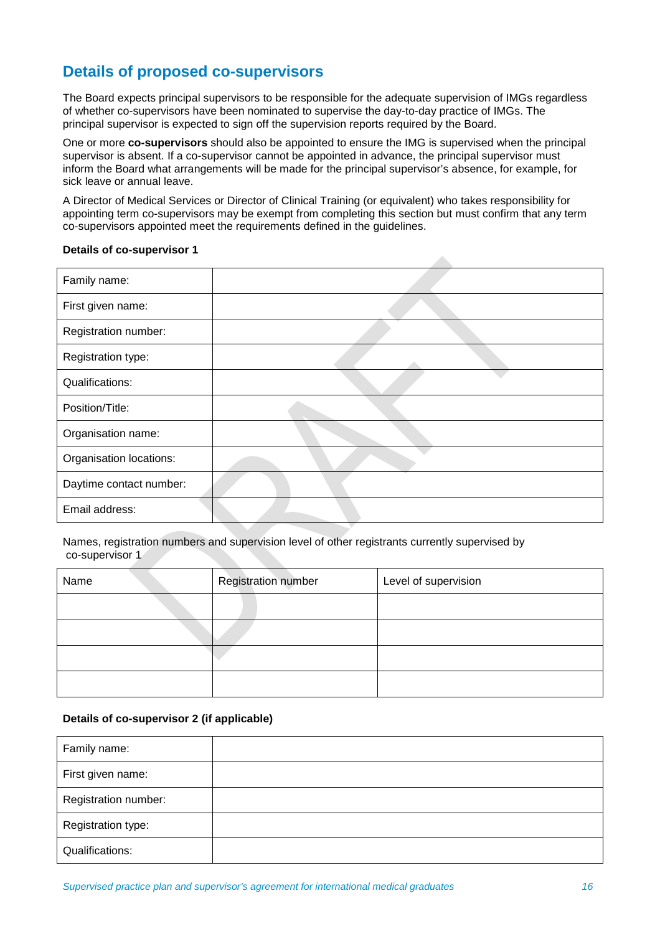# **Details of proposed co-supervisors**

The Board expects principal supervisors to be responsible for the adequate supervision of IMGs regardless of whether co-supervisors have been nominated to supervise the day-to-day practice of IMGs. The principal supervisor is expected to sign off the supervision reports required by the Board.

One or more **co-supervisors** should also be appointed to ensure the IMG is supervised when the principal supervisor is absent. If a co-supervisor cannot be appointed in advance, the principal supervisor must inform the Board what arrangements will be made for the principal supervisor's absence, for example, for sick leave or annual leave.

A Director of Medical Services or Director of Clinical Training (or equivalent) who takes responsibility for appointing term co-supervisors may be exempt from completing this section but must confirm that any term co-supervisors appointed meet the requirements defined in the guidelines.

# **Details of co-supervisor 1**

| Family name:            |  |
|-------------------------|--|
| First given name:       |  |
| Registration number:    |  |
| Registration type:      |  |
| Qualifications:         |  |
| Position/Title:         |  |
| Organisation name:      |  |
| Organisation locations: |  |
| Daytime contact number: |  |
| Email address:          |  |

Names, registration numbers and supervision level of other registrants currently supervised by co-supervisor 1

| Name | <b>Registration number</b> | Level of supervision |
|------|----------------------------|----------------------|
|      |                            |                      |
|      |                            |                      |
|      |                            |                      |
|      |                            |                      |

# **Details of co-supervisor 2 (if applicable)**

| Family name:         |  |
|----------------------|--|
| First given name:    |  |
| Registration number: |  |
| Registration type:   |  |
| Qualifications:      |  |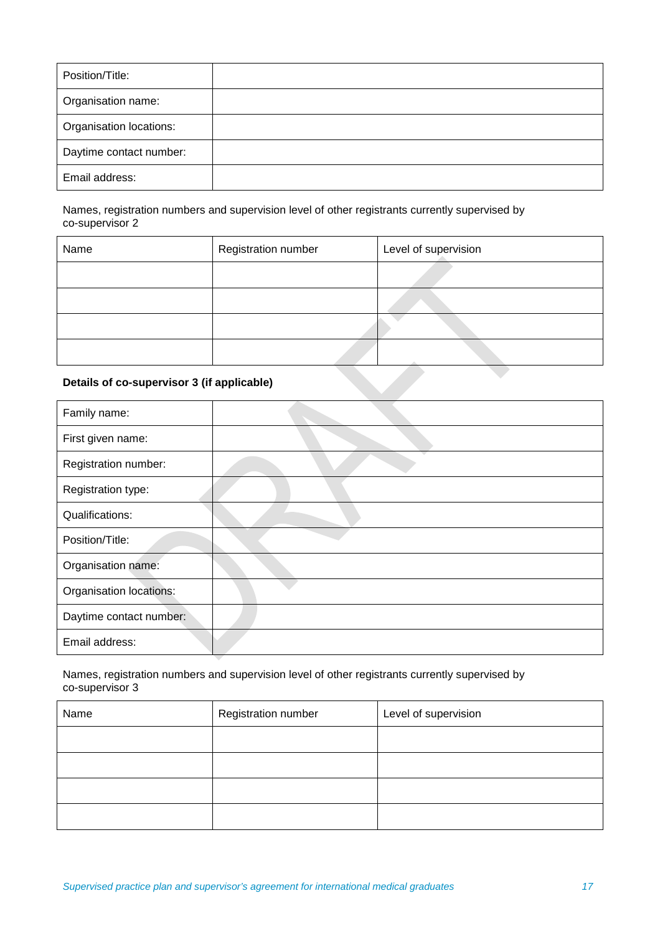| Position/Title:         |  |
|-------------------------|--|
| Organisation name:      |  |
| Organisation locations: |  |
| Daytime contact number: |  |
| Email address:          |  |

Names, registration numbers and supervision level of other registrants currently supervised by co-supervisor 2

| Name                                       | <b>Registration number</b> | Level of supervision |
|--------------------------------------------|----------------------------|----------------------|
|                                            |                            |                      |
|                                            |                            |                      |
|                                            |                            |                      |
|                                            |                            |                      |
| Details of co-supervisor 3 (if applicable) |                            |                      |

# **Details of co-supervisor 3 (if applicable)**

| Family name:            |  |
|-------------------------|--|
| First given name:       |  |
| Registration number:    |  |
| Registration type:      |  |
| Qualifications:         |  |
| Position/Title:         |  |
| Organisation name:      |  |
| Organisation locations: |  |
| Daytime contact number: |  |
| Email address:          |  |

Names, registration numbers and supervision level of other registrants currently supervised by co-supervisor 3

| Name | Registration number | Level of supervision |
|------|---------------------|----------------------|
|      |                     |                      |
|      |                     |                      |
|      |                     |                      |
|      |                     |                      |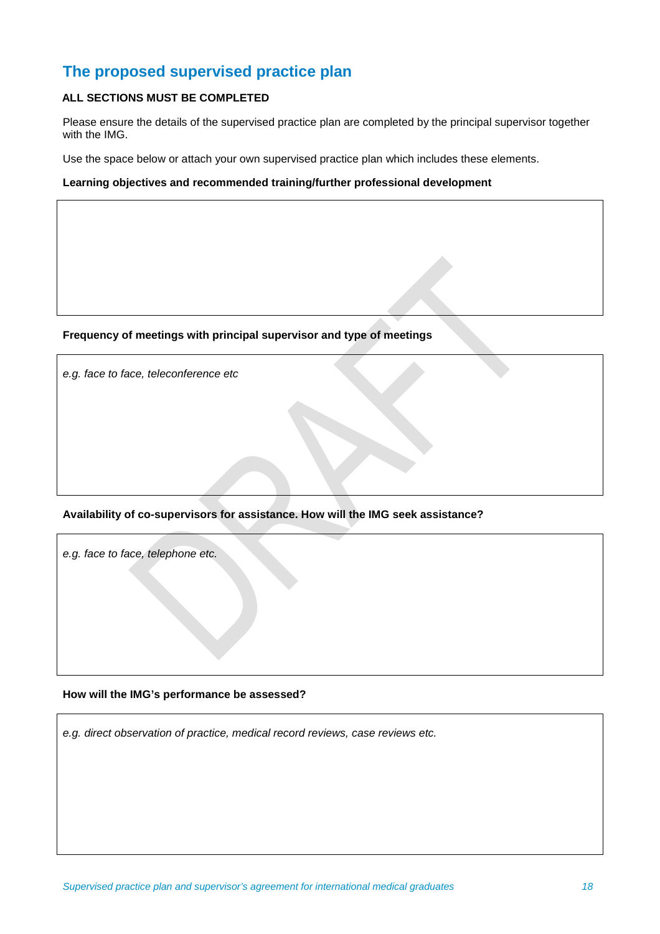# **The proposed supervised practice plan**

# **ALL SECTIONS MUST BE COMPLETED**

Please ensure the details of the supervised practice plan are completed by the principal supervisor together with the IMG.

Use the space below or attach your own supervised practice plan which includes these elements.

**Learning objectives and recommended training/further professional development**

# **Frequency of meetings with principal supervisor and type of meetings**

*e.g. face to face, teleconference etc*

# **Availability of co-supervisors for assistance. How will the IMG seek assistance?**

*e.g. face to face, telephone etc.*

## **How will the IMG's performance be assessed?**

*e.g. direct observation of practice, medical record reviews, case reviews etc.*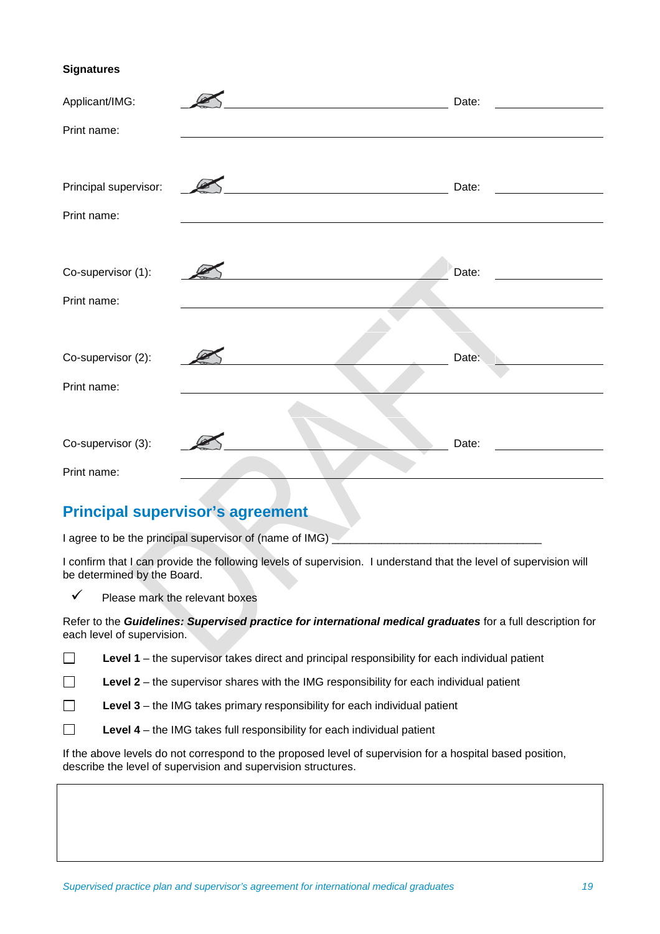# **Signatures**

| Applicant/IMG:        | Date: |
|-----------------------|-------|
| Print name:           |       |
|                       |       |
| Principal supervisor: | Date: |
| Print name:           |       |
|                       |       |
| Co-supervisor (1):    | Date: |
| Print name:           |       |
|                       |       |
| Co-supervisor (2):    | Date: |
| Print name:           |       |
|                       |       |
| Co-supervisor (3):    | Date: |
| Print name:           |       |

# **Principal supervisor's agreement**

I agree to be the principal supervisor of (name of IMG)

I confirm that I can provide the following levels of supervision. I understand that the level of supervision will be determined by the Board.

 $\checkmark$  Please mark the relevant boxes

Refer to the *Guidelines: Supervised practice for international medical graduates* for a full description for each level of supervision.

 $\Box$ Level 1 – the supervisor takes direct and principal responsibility for each individual patient

 $\Box$ Level 2 – the supervisor shares with the IMG responsibility for each individual patient

Level 3 – the IMG takes primary responsibility for each individual patient  $\Box$ 

 $\Box$ **Level 4** – the IMG takes full responsibility for each individual patient

If the above levels do not correspond to the proposed level of supervision for a hospital based position, describe the level of supervision and supervision structures.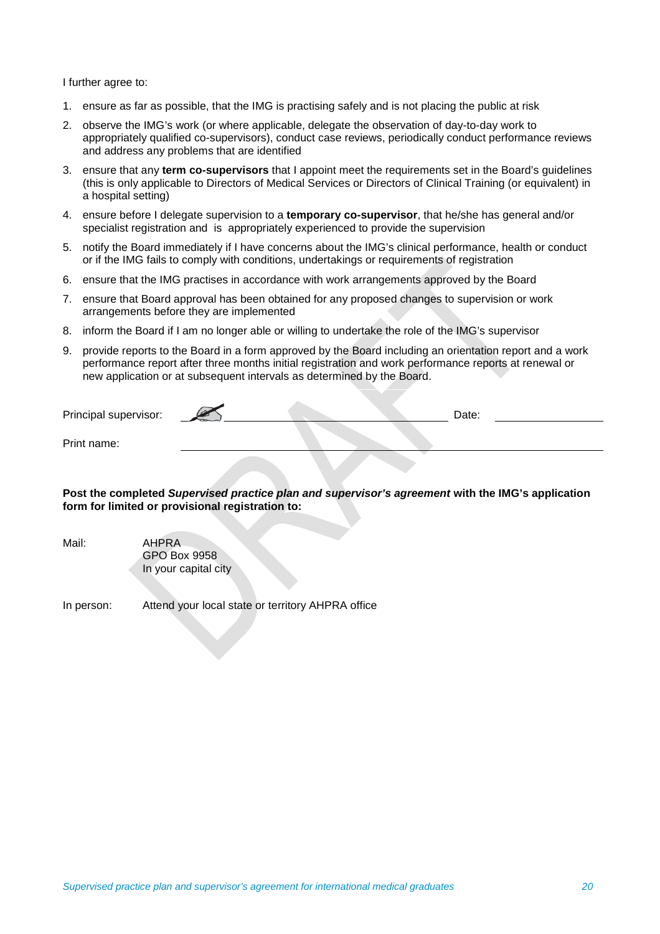I further agree to:

- 1. ensure as far as possible, that the IMG is practising safely and is not placing the public at risk
- 2. observe the IMG's work (or where applicable, delegate the observation of day-to-day work to appropriately qualified co-supervisors), conduct case reviews, periodically conduct performance reviews and address any problems that are identified
- 3. ensure that any **term co-supervisors** that I appoint meet the requirements set in the Board's guidelines (this is only applicable to Directors of Medical Services or Directors of Clinical Training (or equivalent) in a hospital setting)
- 4. ensure before I delegate supervision to a **temporary co-supervisor**, that he/she has general and/or specialist registration and is appropriately experienced to provide the supervision
- 5. notify the Board immediately if I have concerns about the IMG's clinical performance, health or conduct or if the IMG fails to comply with conditions, undertakings or requirements of registration
- 6. ensure that the IMG practises in accordance with work arrangements approved by the Board
- 7. ensure that Board approval has been obtained for any proposed changes to supervision or work arrangements before they are implemented
- 8. inform the Board if I am no longer able or willing to undertake the role of the IMG's supervisor
- 9. provide reports to the Board in a form approved by the Board including an orientation report and a work performance report after three months initial registration and work performance reports at renewal or new application or at subsequent intervals as determined by the Board.

| Principal supervisor: | $\sim$ | Date: |  |
|-----------------------|--------|-------|--|
| Print name:           |        |       |  |

**Post the completed** *Supervised practice plan and supervisor's agreement* **with the IMG's application form for limited or provisional registration to:**

| Mail: | AHPRA                |
|-------|----------------------|
|       | GPO Box 9958         |
|       | In your capital city |

In person: Attend your local state or territory AHPRA office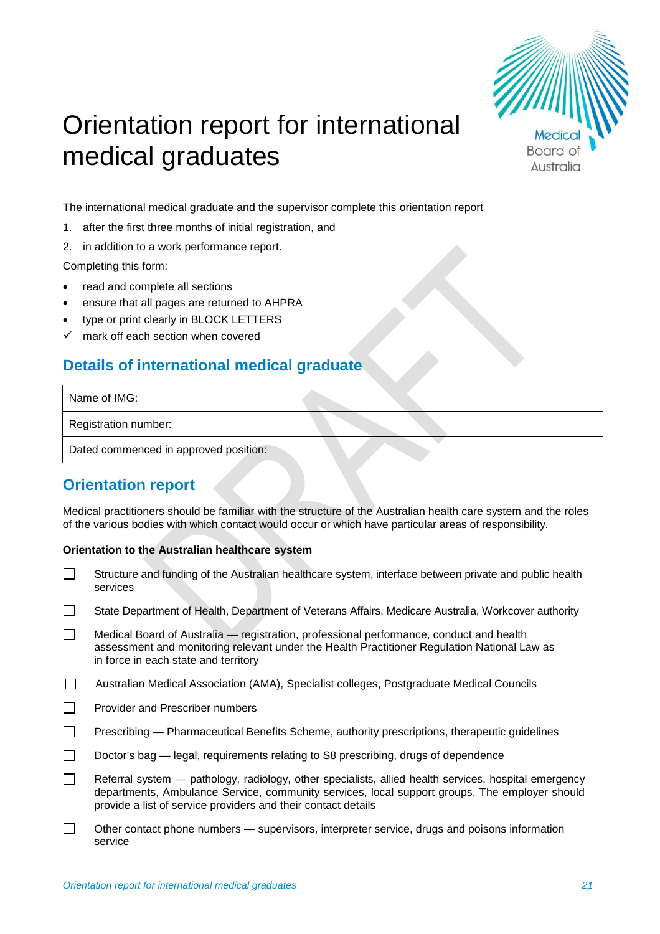

# Orientation report for international medical graduates

The international medical graduate and the supervisor complete this orientation report

- 1. after the first three months of initial registration, and
- 2. in addition to a work performance report.

Completing this form:

- read and complete all sections
- ensure that all pages are returned to AHPRA
- type or print clearly in BLOCK LETTERS
- $\checkmark$  mark off each section when covered

# **Details of international medical graduate**

| Name of IMG:                          |  |
|---------------------------------------|--|
| Registration number:                  |  |
| Dated commenced in approved position: |  |

# **Orientation report**

Medical practitioners should be familiar with the structure of the Australian health care system and the roles of the various bodies with which contact would occur or which have particular areas of responsibility.

# **Orientation to the Australian healthcare system**

- $\Box$ Structure and funding of the Australian healthcare system, interface between private and public health services
- $\Box$ State Department of Health, Department of Veterans Affairs, Medicare Australia, Workcover authority
- $\Box$ Medical Board of Australia — registration, professional performance, conduct and health assessment and monitoring relevant under the Health Practitioner Regulation National Law as in force in each state and territory
- Australian Medical Association (AMA), Specialist colleges, Postgraduate Medical Councils
- $\Box$ Provider and Prescriber numbers
- $\Box$ Prescribing — Pharmaceutical Benefits Scheme, authority prescriptions, therapeutic guidelines
- $\Box$ Doctor's bag — legal, requirements relating to S8 prescribing, drugs of dependence
- $\Box$ Referral system — pathology, radiology, other specialists, allied health services, hospital emergency departments, Ambulance Service, community services, local support groups. The employer should provide a list of service providers and their contact details
- Other contact phone numbers supervisors, interpreter service, drugs and poisons information  $\Box$ service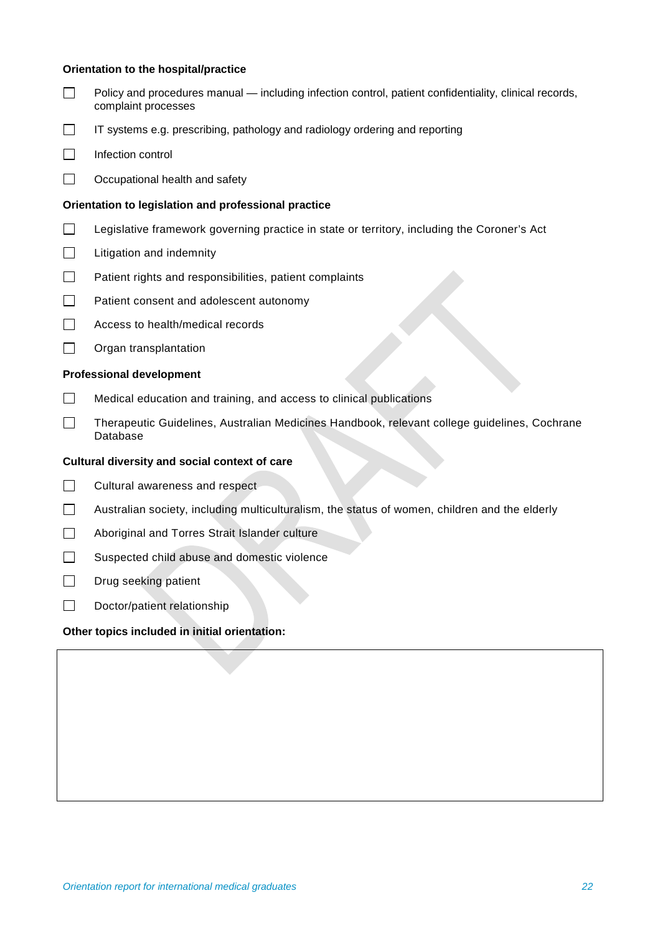# **Orientation to the hospital/practice**

- $\Box$ Policy and procedures manual — including infection control, patient confidentiality, clinical records, complaint processes  $\Box$ IT systems e.g. prescribing, pathology and radiology ordering and reporting  $\Box$ Infection control  $\Box$ Occupational health and safety **Orientation to legislation and professional practice**  $\Box$ Legislative framework governing practice in state or territory, including the Coroner's Act  $\Box$ Litigation and indemnity  $\Box$ Patient rights and responsibilities, patient complaints  $\Box$ Patient consent and adolescent autonomy  $\Box$ Access to health/medical records  $\Box$ Organ transplantation **Professional development**  $\Box$ Medical education and training, and access to clinical publications  $\Box$ Therapeutic Guidelines, Australian Medicines Handbook, relevant college guidelines, Cochrane Database **Cultural diversity and social context of care**  $\Box$ Cultural awareness and respect  $\Box$ Australian society, including multiculturalism, the status of women, children and the elderly  $\Box$ Aboriginal and Torres Strait Islander culture
	- $\Box$ Suspected child abuse and domestic violence
	- $\Box$ Drug seeking patient
	- $\Box$ Doctor/patient relationship

# **Other topics included in initial orientation:**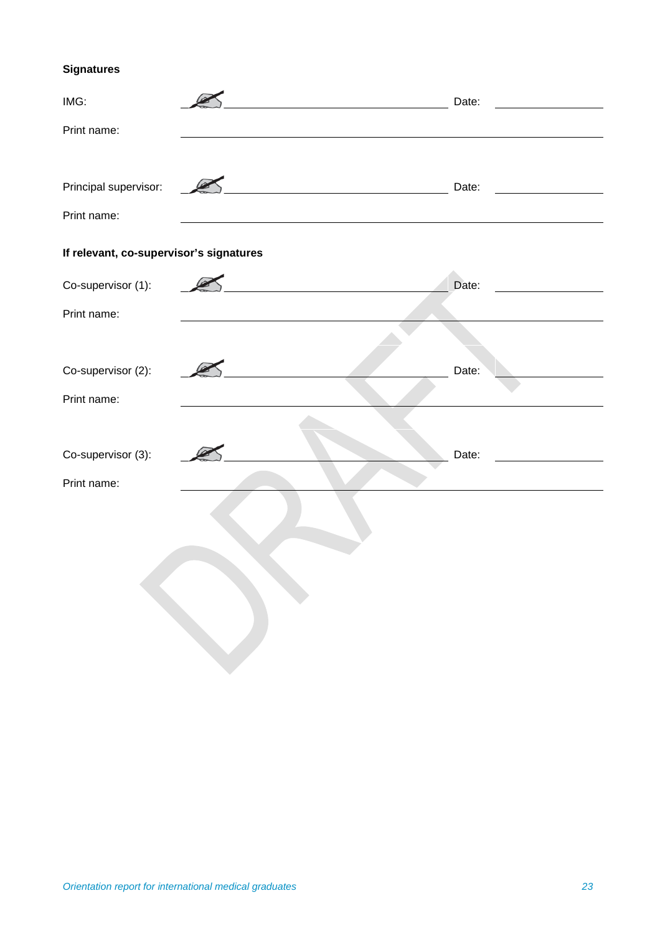# **Signatures**

| IMG:                                    | Date:                                               |  |
|-----------------------------------------|-----------------------------------------------------|--|
| Print name:                             |                                                     |  |
|                                         |                                                     |  |
| Principal supervisor:                   | Date:<br><u> 1980 - Johann Barn, mars ann an t-</u> |  |
| Print name:                             |                                                     |  |
| If relevant, co-supervisor's signatures |                                                     |  |
| Co-supervisor (1):                      | Date:                                               |  |
| Print name:                             |                                                     |  |
|                                         |                                                     |  |
| Co-supervisor (2):                      | Date:                                               |  |
| Print name:                             |                                                     |  |
|                                         |                                                     |  |
| Co-supervisor (3):                      | Date:                                               |  |
| Print name:                             |                                                     |  |
|                                         |                                                     |  |
|                                         |                                                     |  |
|                                         |                                                     |  |
|                                         |                                                     |  |
|                                         |                                                     |  |
|                                         |                                                     |  |
|                                         |                                                     |  |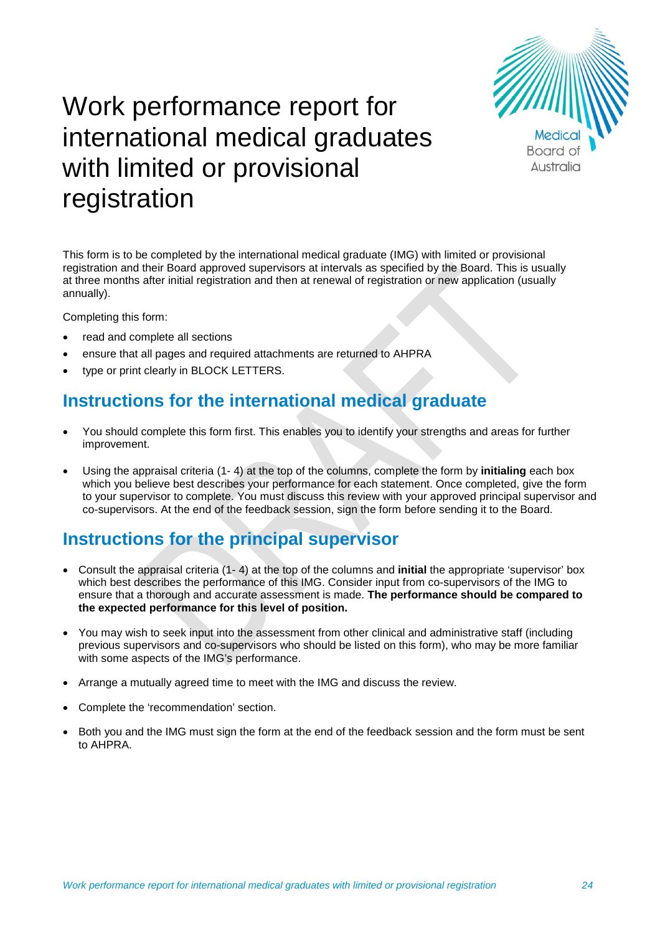

# Work performance report for international medical graduates with limited or provisional registration

This form is to be completed by the international medical graduate (IMG) with limited or provisional registration and their Board approved supervisors at intervals as specified by the Board. This is usually at three months after initial registration and then at renewal of registration or new application (usually annually).

Completing this form:

- read and complete all sections
- ensure that all pages and required attachments are returned to AHPRA
- type or print clearly in BLOCK LETTERS.

# **Instructions for the international medical graduate**

- You should complete this form first. This enables you to identify your strengths and areas for further improvement.
- Using the appraisal criteria (1- 4) at the top of the columns, complete the form by **initialing** each box which you believe best describes your performance for each statement. Once completed, give the form to your supervisor to complete. You must discuss this review with your approved principal supervisor and co-supervisors. At the end of the feedback session, sign the form before sending it to the Board.

# **Instructions for the principal supervisor**

- Consult the appraisal criteria (1- 4) at the top of the columns and **initial** the appropriate 'supervisor' box which best describes the performance of this IMG. Consider input from co-supervisors of the IMG to ensure that a thorough and accurate assessment is made. **The performance should be compared to the expected performance for this level of position.**
- You may wish to seek input into the assessment from other clinical and administrative staff (including previous supervisors and co-supervisors who should be listed on this form), who may be more familiar with some aspects of the IMG's performance.
- Arrange a mutually agreed time to meet with the IMG and discuss the review.
- Complete the 'recommendation' section.
- Both you and the IMG must sign the form at the end of the feedback session and the form must be sent to AHPRA.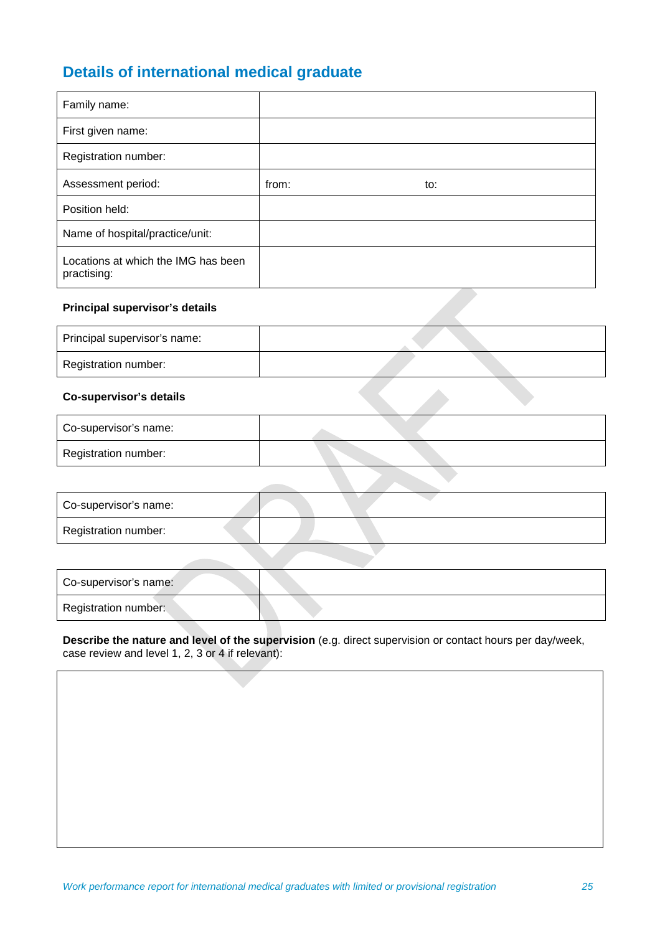# **Details of international medical graduate**

| Family name:                                       |       |     |
|----------------------------------------------------|-------|-----|
| First given name:                                  |       |     |
| Registration number:                               |       |     |
| Assessment period:                                 | from: | to: |
| Position held:                                     |       |     |
| Name of hospital/practice/unit:                    |       |     |
| Locations at which the IMG has been<br>practising: |       |     |

# **Principal supervisor's details**

| Principal supervisor's name: |  |
|------------------------------|--|
| Registration number:         |  |

# **Co-supervisor's details**

| Co-supervisor's name: |  |
|-----------------------|--|
| Registration number:  |  |

| Registration number: |  |
|----------------------|--|

| Co-supervisor's name: |  |
|-----------------------|--|
| Registration number:  |  |

# **Describe the nature and level of the supervision** (e.g. direct supervision or contact hours per day/week, case review and level 1, 2, 3 or 4 if relevant):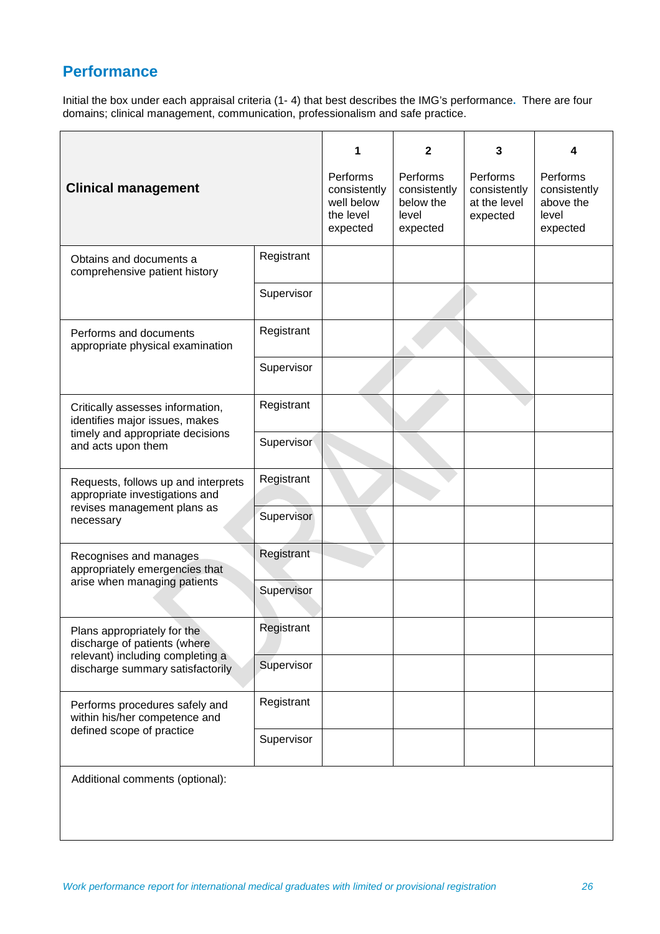# **Performance**

Initial the box under each appraisal criteria (1- 4) that best describes the IMG's performance**.** There are four domains; clinical management, communication, professionalism and safe practice.

| <b>Clinical management</b>                                                                                                   |            | Performs<br>consistently<br>well below | $\mathbf{2}$<br>Performs<br>consistently<br>below the | 3<br>Performs<br>consistently<br>at the level | 4<br>Performs<br>consistently<br>above the |
|------------------------------------------------------------------------------------------------------------------------------|------------|----------------------------------------|-------------------------------------------------------|-----------------------------------------------|--------------------------------------------|
|                                                                                                                              |            | the level<br>expected                  | level<br>expected                                     | expected                                      | level<br>expected                          |
| Obtains and documents a<br>comprehensive patient history                                                                     | Registrant |                                        |                                                       |                                               |                                            |
|                                                                                                                              | Supervisor |                                        |                                                       |                                               |                                            |
| Performs and documents<br>appropriate physical examination                                                                   | Registrant |                                        |                                                       |                                               |                                            |
|                                                                                                                              | Supervisor |                                        |                                                       |                                               |                                            |
| Critically assesses information,<br>identifies major issues, makes<br>timely and appropriate decisions<br>and acts upon them | Registrant |                                        |                                                       |                                               |                                            |
|                                                                                                                              | Supervisor |                                        |                                                       |                                               |                                            |
| Requests, follows up and interprets<br>appropriate investigations and<br>revises management plans as<br>necessary            | Registrant |                                        |                                                       |                                               |                                            |
|                                                                                                                              | Supervisor |                                        |                                                       |                                               |                                            |
| Recognises and manages<br>appropriately emergencies that<br>arise when managing patients                                     | Registrant |                                        |                                                       |                                               |                                            |
|                                                                                                                              | Supervisor |                                        |                                                       |                                               |                                            |
| Plans appropriately for the<br>discharge of patients (where                                                                  | Registrant |                                        |                                                       |                                               |                                            |
| relevant) including completing a<br>discharge summary satisfactorily                                                         | Supervisor |                                        |                                                       |                                               |                                            |
| Performs procedures safely and<br>within his/her competence and                                                              | Registrant |                                        |                                                       |                                               |                                            |
| defined scope of practice                                                                                                    | Supervisor |                                        |                                                       |                                               |                                            |
| Additional comments (optional):                                                                                              |            |                                        |                                                       |                                               |                                            |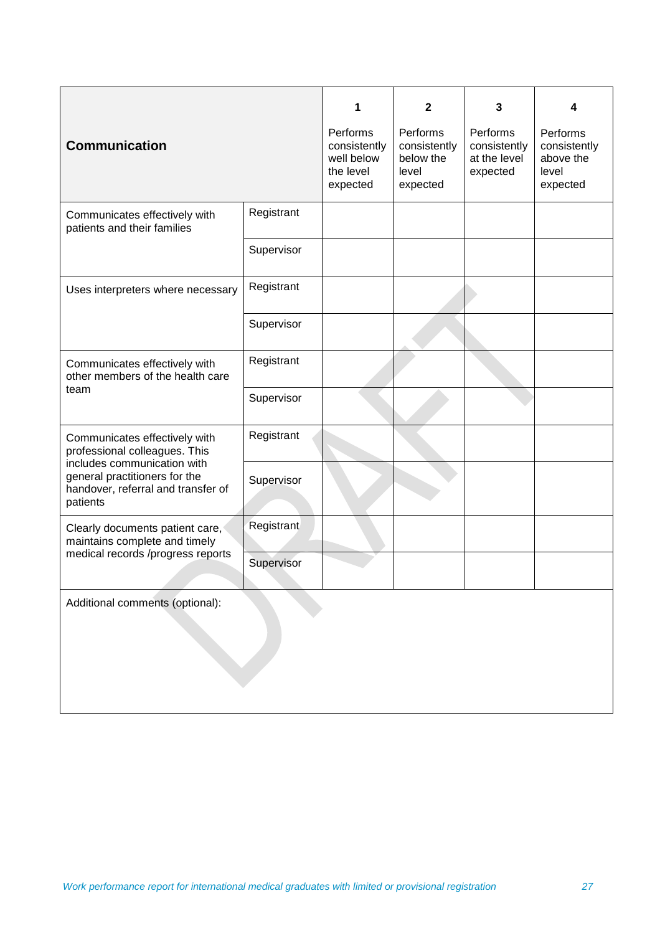|                                                                                               |            | 1                          | $\mathbf{2}$              | 3                            | 4                         |  |
|-----------------------------------------------------------------------------------------------|------------|----------------------------|---------------------------|------------------------------|---------------------------|--|
|                                                                                               |            | Performs                   | Performs                  | Performs                     | Performs                  |  |
| <b>Communication</b>                                                                          |            | consistently<br>well below | consistently<br>below the | consistently<br>at the level | consistently<br>above the |  |
|                                                                                               |            | the level                  | level                     | expected                     | level                     |  |
|                                                                                               |            | expected                   | expected                  |                              | expected                  |  |
| Communicates effectively with                                                                 | Registrant |                            |                           |                              |                           |  |
| patients and their families                                                                   |            |                            |                           |                              |                           |  |
|                                                                                               | Supervisor |                            |                           |                              |                           |  |
| Uses interpreters where necessary                                                             | Registrant |                            |                           |                              |                           |  |
|                                                                                               |            |                            |                           |                              |                           |  |
|                                                                                               | Supervisor |                            |                           |                              |                           |  |
| Communicates effectively with<br>other members of the health care<br>team                     | Registrant |                            |                           |                              |                           |  |
|                                                                                               | Supervisor |                            |                           |                              |                           |  |
| Communicates effectively with<br>professional colleagues. This<br>includes communication with | Registrant |                            |                           |                              |                           |  |
| general practitioners for the<br>handover, referral and transfer of<br>patients               | Supervisor |                            |                           |                              |                           |  |
| Clearly documents patient care,<br>maintains complete and timely                              | Registrant |                            |                           |                              |                           |  |
| medical records /progress reports                                                             | Supervisor |                            |                           |                              |                           |  |
| Additional comments (optional):                                                               |            |                            |                           |                              |                           |  |
|                                                                                               |            |                            |                           |                              |                           |  |
|                                                                                               |            |                            |                           |                              |                           |  |
|                                                                                               |            |                            |                           |                              |                           |  |
|                                                                                               |            |                            |                           |                              |                           |  |
|                                                                                               |            |                            |                           |                              |                           |  |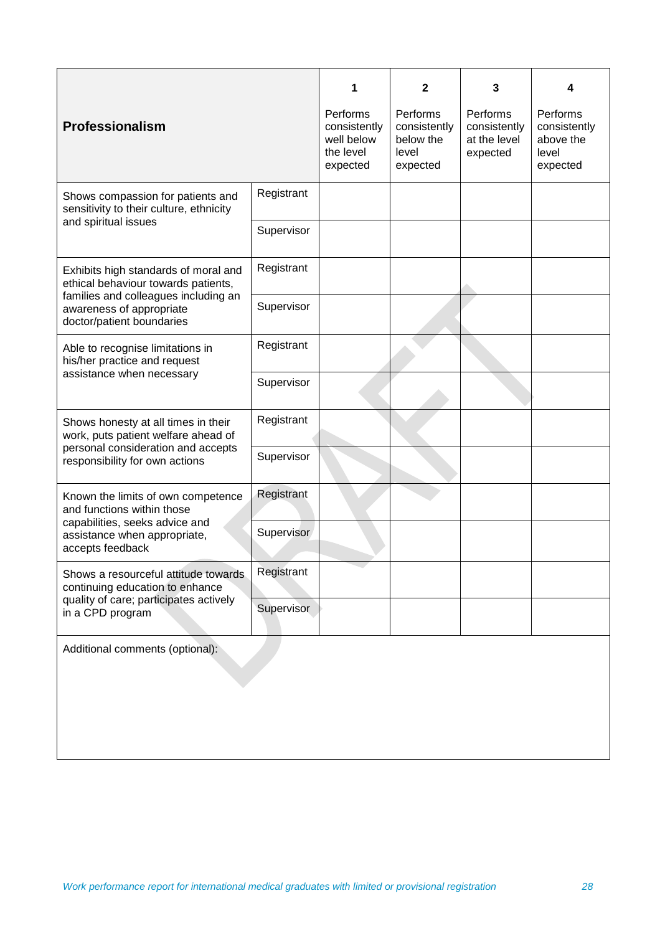| 3<br>1<br>2<br>4<br>Performs<br>Performs<br>Performs<br>Performs<br><b>Professionalism</b><br>consistently<br>consistently<br>consistently<br>consistently<br>well below<br>below the<br>above the<br>at the level<br>the level<br>level<br>level<br>expected<br>expected<br>expected<br>expected<br>Registrant<br>Shows compassion for patients and<br>sensitivity to their culture, ethnicity<br>and spiritual issues<br>Supervisor<br>Registrant<br>Exhibits high standards of moral and<br>ethical behaviour towards patients,<br>families and colleagues including an<br>Supervisor<br>awareness of appropriate<br>doctor/patient boundaries<br>Registrant<br>Able to recognise limitations in<br>his/her practice and request<br>assistance when necessary<br>Supervisor<br>Registrant<br>Shows honesty at all times in their<br>work, puts patient welfare ahead of<br>personal consideration and accepts<br>Supervisor<br>responsibility for own actions<br>Registrant<br>Known the limits of own competence<br>and functions within those<br>capabilities, seeks advice and<br>Supervisor<br>assistance when appropriate,<br>accepts feedback<br>Registrant<br>Shows a resourceful attitude towards<br>continuing education to enhance<br>quality of care; participates actively<br>Supervisor<br>in a CPD program |  |  |  |  |  |  |
|-----------------------------------------------------------------------------------------------------------------------------------------------------------------------------------------------------------------------------------------------------------------------------------------------------------------------------------------------------------------------------------------------------------------------------------------------------------------------------------------------------------------------------------------------------------------------------------------------------------------------------------------------------------------------------------------------------------------------------------------------------------------------------------------------------------------------------------------------------------------------------------------------------------------------------------------------------------------------------------------------------------------------------------------------------------------------------------------------------------------------------------------------------------------------------------------------------------------------------------------------------------------------------------------------------------------------------|--|--|--|--|--|--|
|                                                                                                                                                                                                                                                                                                                                                                                                                                                                                                                                                                                                                                                                                                                                                                                                                                                                                                                                                                                                                                                                                                                                                                                                                                                                                                                             |  |  |  |  |  |  |
|                                                                                                                                                                                                                                                                                                                                                                                                                                                                                                                                                                                                                                                                                                                                                                                                                                                                                                                                                                                                                                                                                                                                                                                                                                                                                                                             |  |  |  |  |  |  |
|                                                                                                                                                                                                                                                                                                                                                                                                                                                                                                                                                                                                                                                                                                                                                                                                                                                                                                                                                                                                                                                                                                                                                                                                                                                                                                                             |  |  |  |  |  |  |
|                                                                                                                                                                                                                                                                                                                                                                                                                                                                                                                                                                                                                                                                                                                                                                                                                                                                                                                                                                                                                                                                                                                                                                                                                                                                                                                             |  |  |  |  |  |  |
|                                                                                                                                                                                                                                                                                                                                                                                                                                                                                                                                                                                                                                                                                                                                                                                                                                                                                                                                                                                                                                                                                                                                                                                                                                                                                                                             |  |  |  |  |  |  |
|                                                                                                                                                                                                                                                                                                                                                                                                                                                                                                                                                                                                                                                                                                                                                                                                                                                                                                                                                                                                                                                                                                                                                                                                                                                                                                                             |  |  |  |  |  |  |
|                                                                                                                                                                                                                                                                                                                                                                                                                                                                                                                                                                                                                                                                                                                                                                                                                                                                                                                                                                                                                                                                                                                                                                                                                                                                                                                             |  |  |  |  |  |  |
|                                                                                                                                                                                                                                                                                                                                                                                                                                                                                                                                                                                                                                                                                                                                                                                                                                                                                                                                                                                                                                                                                                                                                                                                                                                                                                                             |  |  |  |  |  |  |
|                                                                                                                                                                                                                                                                                                                                                                                                                                                                                                                                                                                                                                                                                                                                                                                                                                                                                                                                                                                                                                                                                                                                                                                                                                                                                                                             |  |  |  |  |  |  |
|                                                                                                                                                                                                                                                                                                                                                                                                                                                                                                                                                                                                                                                                                                                                                                                                                                                                                                                                                                                                                                                                                                                                                                                                                                                                                                                             |  |  |  |  |  |  |
|                                                                                                                                                                                                                                                                                                                                                                                                                                                                                                                                                                                                                                                                                                                                                                                                                                                                                                                                                                                                                                                                                                                                                                                                                                                                                                                             |  |  |  |  |  |  |
|                                                                                                                                                                                                                                                                                                                                                                                                                                                                                                                                                                                                                                                                                                                                                                                                                                                                                                                                                                                                                                                                                                                                                                                                                                                                                                                             |  |  |  |  |  |  |
|                                                                                                                                                                                                                                                                                                                                                                                                                                                                                                                                                                                                                                                                                                                                                                                                                                                                                                                                                                                                                                                                                                                                                                                                                                                                                                                             |  |  |  |  |  |  |
|                                                                                                                                                                                                                                                                                                                                                                                                                                                                                                                                                                                                                                                                                                                                                                                                                                                                                                                                                                                                                                                                                                                                                                                                                                                                                                                             |  |  |  |  |  |  |
| Additional comments (optional):                                                                                                                                                                                                                                                                                                                                                                                                                                                                                                                                                                                                                                                                                                                                                                                                                                                                                                                                                                                                                                                                                                                                                                                                                                                                                             |  |  |  |  |  |  |
|                                                                                                                                                                                                                                                                                                                                                                                                                                                                                                                                                                                                                                                                                                                                                                                                                                                                                                                                                                                                                                                                                                                                                                                                                                                                                                                             |  |  |  |  |  |  |
|                                                                                                                                                                                                                                                                                                                                                                                                                                                                                                                                                                                                                                                                                                                                                                                                                                                                                                                                                                                                                                                                                                                                                                                                                                                                                                                             |  |  |  |  |  |  |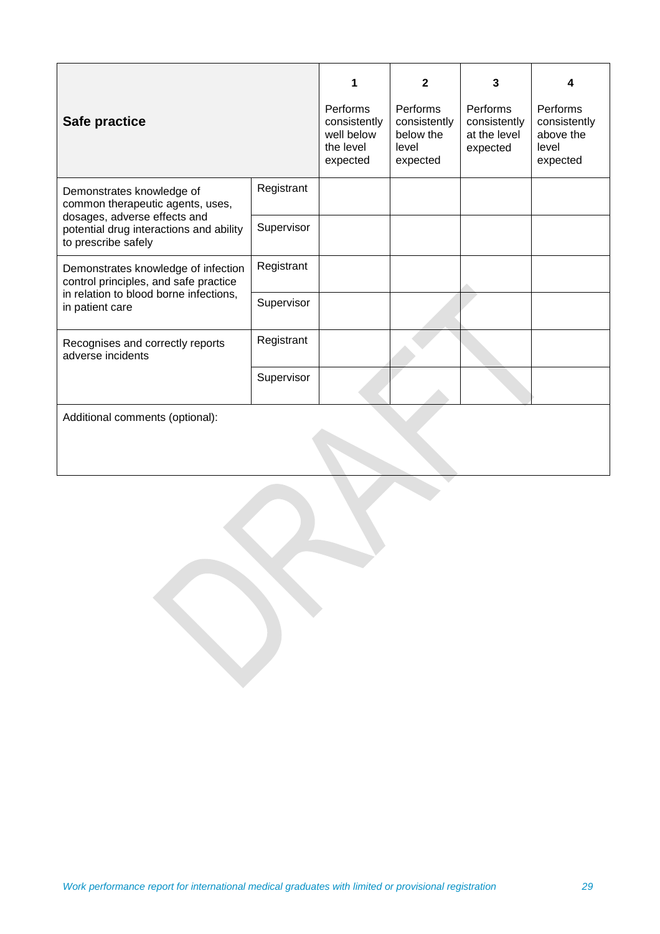| Safe practice                                                                                                                                                   |            | 1<br><b>Performs</b><br>consistently<br>well below<br>the level<br>expected | $\mathbf{2}$<br><b>Performs</b><br>consistently<br>below the<br>level<br>expected | 3<br>Performs<br>consistently<br>at the level<br>expected | 4<br>Performs<br>consistently<br>above the<br>level<br>expected |
|-----------------------------------------------------------------------------------------------------------------------------------------------------------------|------------|-----------------------------------------------------------------------------|-----------------------------------------------------------------------------------|-----------------------------------------------------------|-----------------------------------------------------------------|
| Demonstrates knowledge of<br>common therapeutic agents, uses,<br>dosages, adverse effects and<br>potential drug interactions and ability<br>to prescribe safely | Registrant |                                                                             |                                                                                   |                                                           |                                                                 |
|                                                                                                                                                                 | Supervisor |                                                                             |                                                                                   |                                                           |                                                                 |
| Demonstrates knowledge of infection<br>control principles, and safe practice<br>in relation to blood borne infections,<br>in patient care                       | Registrant |                                                                             |                                                                                   |                                                           |                                                                 |
|                                                                                                                                                                 | Supervisor |                                                                             |                                                                                   |                                                           |                                                                 |
| Recognises and correctly reports<br>adverse incidents                                                                                                           | Registrant |                                                                             |                                                                                   |                                                           |                                                                 |
|                                                                                                                                                                 | Supervisor |                                                                             |                                                                                   |                                                           |                                                                 |
| Additional comments (optional):                                                                                                                                 |            |                                                                             |                                                                                   |                                                           |                                                                 |
|                                                                                                                                                                 |            |                                                                             |                                                                                   |                                                           |                                                                 |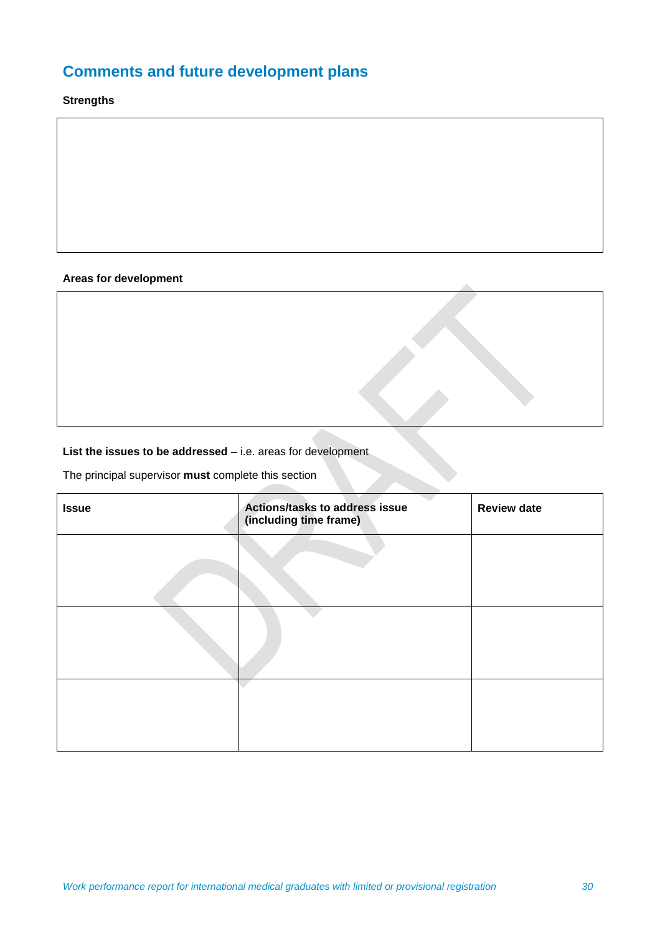# **Comments and future development plans**

# **Strengths**

# **Areas for development**

# List the issues to be addressed - i.e. areas for development

The principal supervisor **must** complete this section

| <b>Issue</b> | Actions/tasks to address issue<br>(including time frame) | <b>Review date</b> |
|--------------|----------------------------------------------------------|--------------------|
|              |                                                          |                    |
|              |                                                          |                    |
|              |                                                          |                    |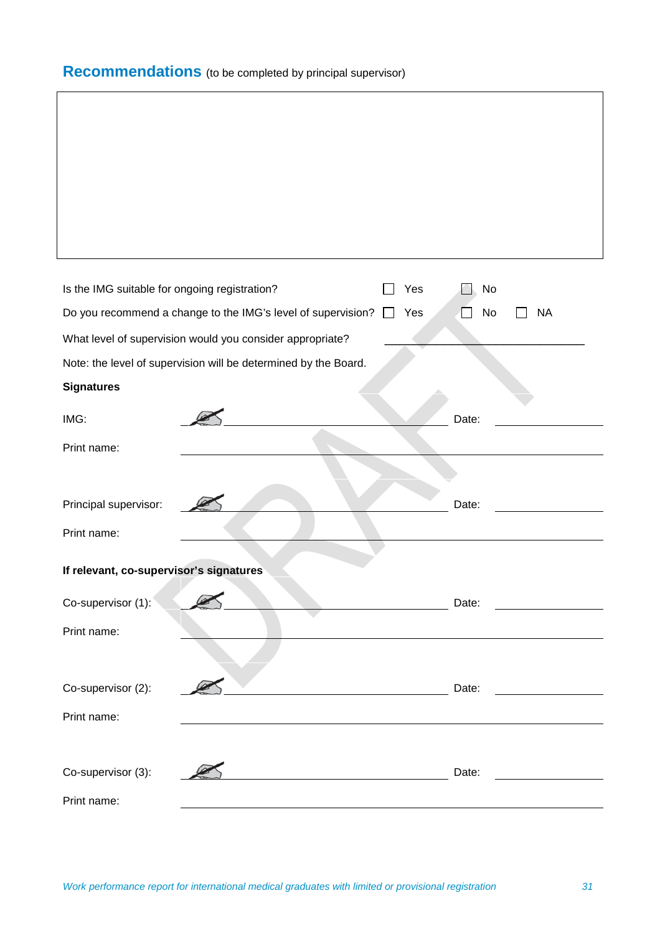# **Recommendations** (to be completed by principal supervisor)

| Is the IMG suitable for ongoing registration? |                                                                 |  | Yes | No    |           |  |
|-----------------------------------------------|-----------------------------------------------------------------|--|-----|-------|-----------|--|
|                                               |                                                                 |  |     |       |           |  |
|                                               | Do you recommend a change to the IMG's level of supervision?    |  | Yes | No    | <b>NA</b> |  |
|                                               | What level of supervision would you consider appropriate?       |  |     |       |           |  |
|                                               | Note: the level of supervision will be determined by the Board. |  |     |       |           |  |
| <b>Signatures</b>                             |                                                                 |  |     |       |           |  |
| IMG:                                          |                                                                 |  |     | Date: |           |  |
| Print name:                                   |                                                                 |  |     |       |           |  |
|                                               |                                                                 |  |     |       |           |  |
| Principal supervisor:                         |                                                                 |  |     | Date: |           |  |
| Print name:                                   |                                                                 |  |     |       |           |  |
|                                               |                                                                 |  |     |       |           |  |
| If relevant, co-supervisor's signatures       |                                                                 |  |     |       |           |  |
| Co-supervisor (1):                            |                                                                 |  |     | Date: |           |  |
| Print name:                                   |                                                                 |  |     |       |           |  |
|                                               |                                                                 |  |     |       |           |  |
| Co-supervisor (2):                            |                                                                 |  |     | Date: |           |  |
| Print name:                                   |                                                                 |  |     |       |           |  |
|                                               |                                                                 |  |     |       |           |  |
| Co-supervisor (3):                            |                                                                 |  |     | Date: |           |  |
| Print name:                                   |                                                                 |  |     |       |           |  |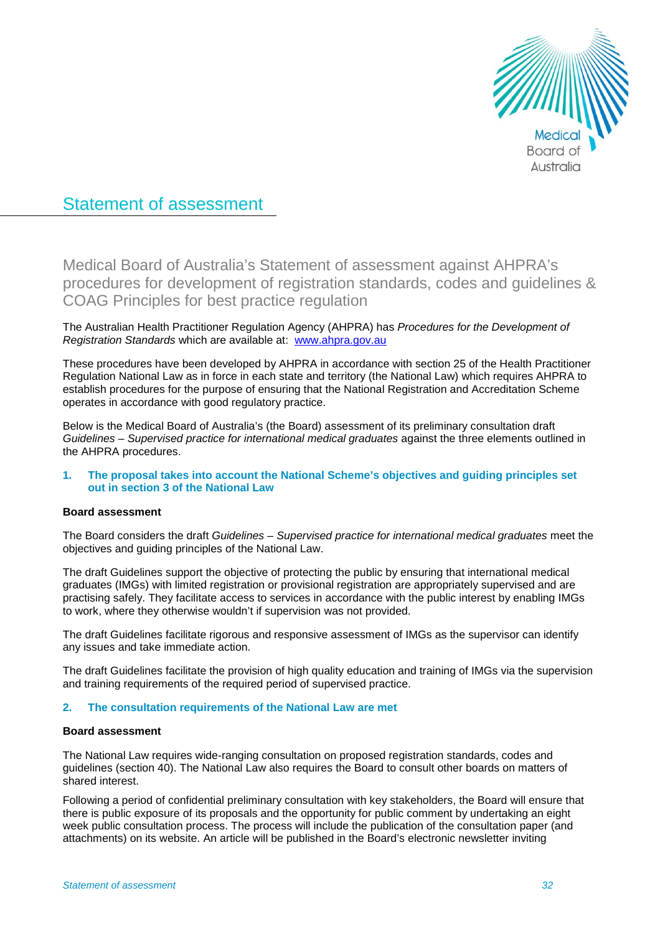

# Statement of assessment

Medical Board of Australia's Statement of assessment against AHPRA's procedures for development of registration standards, codes and guidelines & COAG Principles for best practice regulation

The Australian Health Practitioner Regulation Agency (AHPRA) has *Procedures for the Development of Registration Standards* which are available at: [www.ahpra.gov.au](http://www.ahpra.gov.au/)

These procedures have been developed by AHPRA in accordance with section 25 of the Health Practitioner Regulation National Law as in force in each state and territory (the National Law) which requires AHPRA to establish procedures for the purpose of ensuring that the National Registration and Accreditation Scheme operates in accordance with good regulatory practice.

Below is the Medical Board of Australia's (the Board) assessment of its preliminary consultation draft *Guidelines – Supervised practice for international medical graduates* against the three elements outlined in the AHPRA procedures.

# **1. The proposal takes into account the National Scheme's objectives and guiding principles set out in section 3 of the National Law**

## **Board assessment**

The Board considers the draft *Guidelines – Supervised practice for international medical graduates* meet the objectives and guiding principles of the National Law.

The draft Guidelines support the objective of protecting the public by ensuring that international medical graduates (IMGs) with limited registration or provisional registration are appropriately supervised and are practising safely. They facilitate access to services in accordance with the public interest by enabling IMGs to work, where they otherwise wouldn't if supervision was not provided.

The draft Guidelines facilitate rigorous and responsive assessment of IMGs as the supervisor can identify any issues and take immediate action.

The draft Guidelines facilitate the provision of high quality education and training of IMGs via the supervision and training requirements of the required period of supervised practice.

## **2. The consultation requirements of the National Law are met**

## **Board assessment**

The National Law requires wide-ranging consultation on proposed registration standards, codes and guidelines (section 40). The National Law also requires the Board to consult other boards on matters of shared interest.

Following a period of confidential preliminary consultation with key stakeholders, the Board will ensure that there is public exposure of its proposals and the opportunity for public comment by undertaking an eight week public consultation process. The process will include the publication of the consultation paper (and attachments) on its website. An article will be published in the Board's electronic newsletter inviting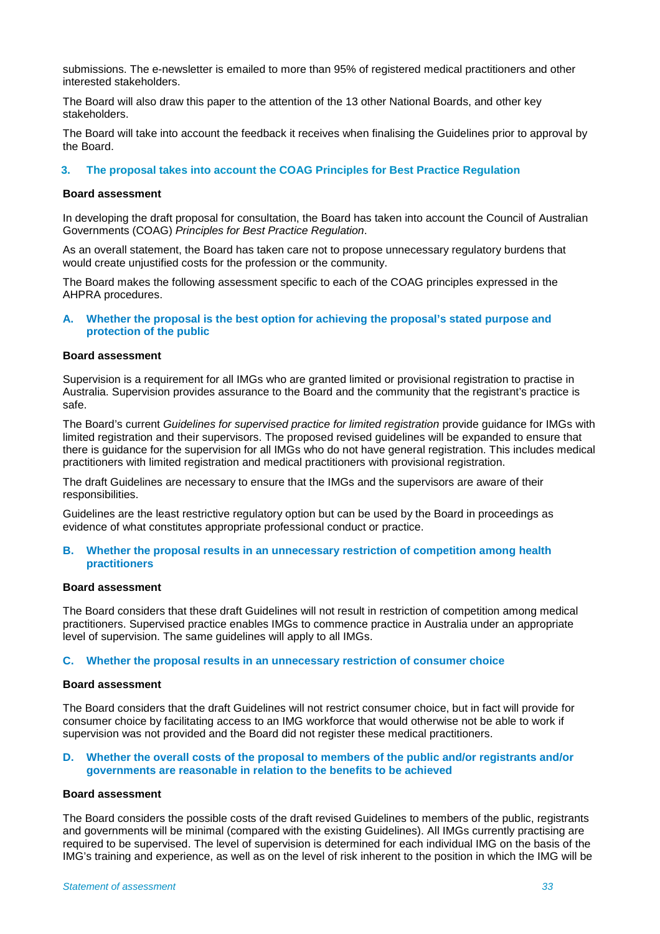submissions. The e-newsletter is emailed to more than 95% of registered medical practitioners and other interested stakeholders.

The Board will also draw this paper to the attention of the 13 other National Boards, and other key stakeholders.

The Board will take into account the feedback it receives when finalising the Guidelines prior to approval by the Board.

# **3. The proposal takes into account the COAG Principles for Best Practice Regulation**

#### **Board assessment**

In developing the draft proposal for consultation, the Board has taken into account the Council of Australian Governments (COAG) *Principles for Best Practice Regulation*.

As an overall statement, the Board has taken care not to propose unnecessary regulatory burdens that would create unjustified costs for the profession or the community.

The Board makes the following assessment specific to each of the COAG principles expressed in the AHPRA procedures.

**A. Whether the proposal is the best option for achieving the proposal's stated purpose and protection of the public** 

#### **Board assessment**

Supervision is a requirement for all IMGs who are granted limited or provisional registration to practise in Australia. Supervision provides assurance to the Board and the community that the registrant's practice is safe.

The Board's current *Guidelines for supervised practice for limited registration* provide guidance for IMGs with limited registration and their supervisors. The proposed revised guidelines will be expanded to ensure that there is guidance for the supervision for all IMGs who do not have general registration. This includes medical practitioners with limited registration and medical practitioners with provisional registration.

The draft Guidelines are necessary to ensure that the IMGs and the supervisors are aware of their responsibilities.

Guidelines are the least restrictive regulatory option but can be used by the Board in proceedings as evidence of what constitutes appropriate professional conduct or practice.

#### **B. Whether the proposal results in an unnecessary restriction of competition among health practitioners**

#### **Board assessment**

The Board considers that these draft Guidelines will not result in restriction of competition among medical practitioners. Supervised practice enables IMGs to commence practice in Australia under an appropriate level of supervision. The same guidelines will apply to all IMGs.

## **C. Whether the proposal results in an unnecessary restriction of consumer choice**

#### **Board assessment**

The Board considers that the draft Guidelines will not restrict consumer choice, but in fact will provide for consumer choice by facilitating access to an IMG workforce that would otherwise not be able to work if supervision was not provided and the Board did not register these medical practitioners.

## **D. Whether the overall costs of the proposal to members of the public and/or registrants and/or governments are reasonable in relation to the benefits to be achieved**

# **Board assessment**

The Board considers the possible costs of the draft revised Guidelines to members of the public, registrants and governments will be minimal (compared with the existing Guidelines). All IMGs currently practising are required to be supervised. The level of supervision is determined for each individual IMG on the basis of the IMG's training and experience, as well as on the level of risk inherent to the position in which the IMG will be